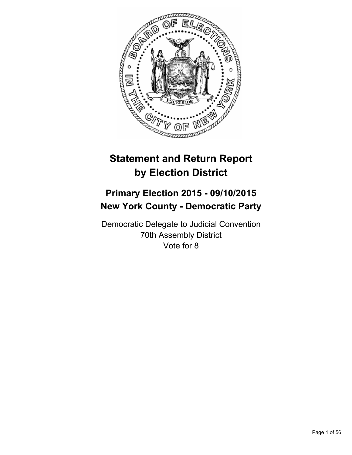

# **Statement and Return Report by Election District**

## **Primary Election 2015 - 09/10/2015 New York County - Democratic Party**

Democratic Delegate to Judicial Convention 70th Assembly District Vote for 8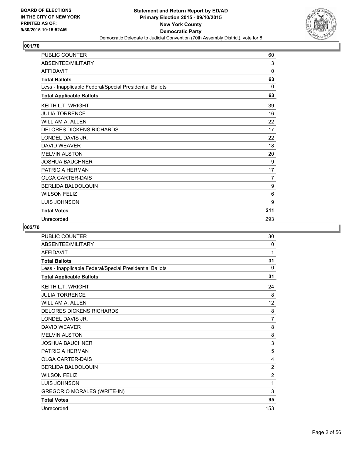

| <b>PUBLIC COUNTER</b>                                    | 60  |
|----------------------------------------------------------|-----|
| ABSENTEE/MILITARY                                        | 3   |
| <b>AFFIDAVIT</b>                                         | 0   |
| <b>Total Ballots</b>                                     | 63  |
| Less - Inapplicable Federal/Special Presidential Ballots | 0   |
| <b>Total Applicable Ballots</b>                          | 63  |
| <b>KEITH L.T. WRIGHT</b>                                 | 39  |
| <b>JULIA TORRENCE</b>                                    | 16  |
| <b>WILLIAM A. ALLEN</b>                                  | 22  |
| <b>DELORES DICKENS RICHARDS</b>                          | 17  |
| LONDEL DAVIS JR.                                         | 22  |
| <b>DAVID WEAVER</b>                                      | 18  |
| <b>MELVIN ALSTON</b>                                     | 20  |
| <b>JOSHUA BAUCHNER</b>                                   | 9   |
| PATRICIA HERMAN                                          | 17  |
| <b>OLGA CARTER-DAIS</b>                                  | 7   |
| <b>BERLIDA BALDOLQUIN</b>                                | 9   |
| <b>WILSON FELIZ</b>                                      | 6   |
| <b>LUIS JOHNSON</b>                                      | 9   |
| <b>Total Votes</b>                                       | 211 |
| Unrecorded                                               | 293 |

| <b>PUBLIC COUNTER</b>                                    | 30             |
|----------------------------------------------------------|----------------|
| ABSENTEE/MILITARY                                        | 0              |
| <b>AFFIDAVIT</b>                                         | 1              |
| <b>Total Ballots</b>                                     | 31             |
| Less - Inapplicable Federal/Special Presidential Ballots | $\Omega$       |
| <b>Total Applicable Ballots</b>                          | 31             |
| KEITH L.T. WRIGHT                                        | 24             |
| <b>JULIA TORRENCE</b>                                    | 8              |
| <b>WILLIAM A. ALLEN</b>                                  | 12             |
| <b>DELORES DICKENS RICHARDS</b>                          | 8              |
| LONDEL DAVIS JR.                                         | $\overline{7}$ |
| DAVID WEAVER                                             | 8              |
| <b>MELVIN ALSTON</b>                                     | 8              |
| <b>JOSHUA BAUCHNER</b>                                   | $\mathsf 3$    |
| PATRICIA HERMAN                                          | 5              |
| <b>OLGA CARTER-DAIS</b>                                  | 4              |
| BERLIDA BALDOLQUIN                                       | $\overline{2}$ |
| <b>WILSON FELIZ</b>                                      | $\overline{2}$ |
| LUIS JOHNSON                                             | 1              |
| <b>GREGORIO MORALES (WRITE-IN)</b>                       | 3              |
| <b>Total Votes</b>                                       | 95             |
| Unrecorded                                               | 153            |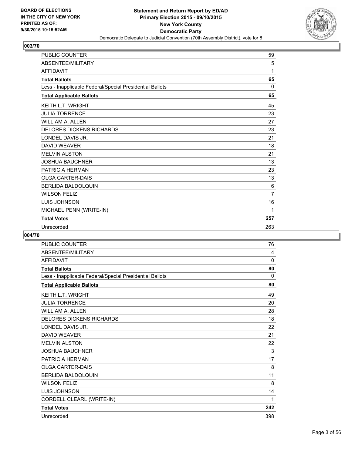

| <b>PUBLIC COUNTER</b>                                    | 59             |
|----------------------------------------------------------|----------------|
| <b>ABSENTEE/MILITARY</b>                                 | 5              |
| <b>AFFIDAVIT</b>                                         | 1              |
| <b>Total Ballots</b>                                     | 65             |
| Less - Inapplicable Federal/Special Presidential Ballots | $\Omega$       |
| <b>Total Applicable Ballots</b>                          | 65             |
| <b>KEITH L.T. WRIGHT</b>                                 | 45             |
| <b>JULIA TORRENCE</b>                                    | 23             |
| <b>WILLIAM A. ALLEN</b>                                  | 27             |
| <b>DELORES DICKENS RICHARDS</b>                          | 23             |
| LONDEL DAVIS JR.                                         | 21             |
| <b>DAVID WEAVER</b>                                      | 18             |
| <b>MELVIN ALSTON</b>                                     | 21             |
| <b>JOSHUA BAUCHNER</b>                                   | 13             |
| PATRICIA HERMAN                                          | 23             |
| <b>OLGA CARTER-DAIS</b>                                  | 13             |
| <b>BERLIDA BALDOLQUIN</b>                                | 6              |
| <b>WILSON FELIZ</b>                                      | $\overline{7}$ |
| LUIS JOHNSON                                             | 16             |
| MICHAEL PENN (WRITE-IN)                                  | 1              |
| <b>Total Votes</b>                                       | 257            |
| Unrecorded                                               | 263            |

| <b>PUBLIC COUNTER</b>                                    | 76           |
|----------------------------------------------------------|--------------|
| ABSENTEE/MILITARY                                        | 4            |
| <b>AFFIDAVIT</b>                                         | 0            |
| <b>Total Ballots</b>                                     | 80           |
| Less - Inapplicable Federal/Special Presidential Ballots | $\mathbf{0}$ |
| <b>Total Applicable Ballots</b>                          | 80           |
| <b>KEITH L.T. WRIGHT</b>                                 | 49           |
| <b>JULIA TORRENCE</b>                                    | 20           |
| <b>WILLIAM A. ALLEN</b>                                  | 28           |
| <b>DELORES DICKENS RICHARDS</b>                          | 18           |
| LONDEL DAVIS JR.                                         | 22           |
| <b>DAVID WEAVER</b>                                      | 21           |
| <b>MELVIN ALSTON</b>                                     | 22           |
| <b>JOSHUA BAUCHNER</b>                                   | 3            |
| <b>PATRICIA HERMAN</b>                                   | 17           |
| <b>OLGA CARTER-DAIS</b>                                  | 8            |
| <b>BERLIDA BALDOLQUIN</b>                                | 11           |
| <b>WILSON FELIZ</b>                                      | 8            |
| <b>LUIS JOHNSON</b>                                      | 14           |
| CORDELL CLEARL (WRITE-IN)                                | 1            |
| <b>Total Votes</b>                                       | 242          |
| Unrecorded                                               | 398          |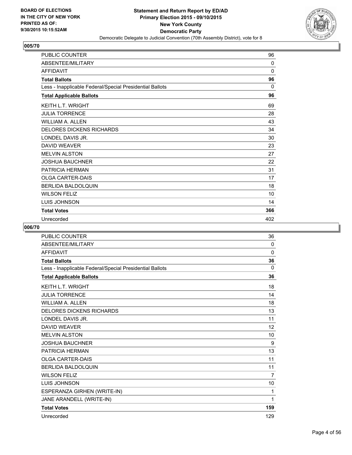

| PUBLIC COUNTER                                           | 96       |
|----------------------------------------------------------|----------|
| ABSENTEE/MILITARY                                        | $\Omega$ |
| <b>AFFIDAVIT</b>                                         | 0        |
| <b>Total Ballots</b>                                     | 96       |
| Less - Inapplicable Federal/Special Presidential Ballots | 0        |
| <b>Total Applicable Ballots</b>                          | 96       |
| <b>KEITH L.T. WRIGHT</b>                                 | 69       |
| <b>JULIA TORRENCE</b>                                    | 28       |
| <b>WILLIAM A. ALLEN</b>                                  | 43       |
| <b>DELORES DICKENS RICHARDS</b>                          | 34       |
| LONDEL DAVIS JR.                                         | 30       |
| <b>DAVID WEAVER</b>                                      | 23       |
| <b>MELVIN ALSTON</b>                                     | 27       |
| <b>JOSHUA BAUCHNER</b>                                   | 22       |
| <b>PATRICIA HERMAN</b>                                   | 31       |
| <b>OLGA CARTER-DAIS</b>                                  | 17       |
| <b>BERLIDA BALDOLQUIN</b>                                | 18       |
| <b>WILSON FELIZ</b>                                      | 10       |
| <b>LUIS JOHNSON</b>                                      | 14       |
| <b>Total Votes</b>                                       | 366      |
| Unrecorded                                               | 402      |

| <b>PUBLIC COUNTER</b>                                    | 36             |
|----------------------------------------------------------|----------------|
| ABSENTEE/MILITARY                                        | 0              |
| <b>AFFIDAVIT</b>                                         | 0              |
| <b>Total Ballots</b>                                     | 36             |
| Less - Inapplicable Federal/Special Presidential Ballots | 0              |
| <b>Total Applicable Ballots</b>                          | 36             |
| <b>KEITH L.T. WRIGHT</b>                                 | 18             |
| <b>JULIA TORRENCE</b>                                    | 14             |
| <b>WILLIAM A. ALLEN</b>                                  | 18             |
| <b>DELORES DICKENS RICHARDS</b>                          | 13             |
| LONDEL DAVIS JR.                                         | 11             |
| <b>DAVID WEAVER</b>                                      | 12             |
| <b>MELVIN ALSTON</b>                                     | 10             |
| <b>JOSHUA BAUCHNER</b>                                   | 9              |
| PATRICIA HERMAN                                          | 13             |
| <b>OLGA CARTER-DAIS</b>                                  | 11             |
| <b>BERLIDA BALDOLQUIN</b>                                | 11             |
| <b>WILSON FELIZ</b>                                      | $\overline{7}$ |
| <b>LUIS JOHNSON</b>                                      | 10             |
| ESPERANZA GIRHEN (WRITE-IN)                              | 1              |
| JANE ARANDELL (WRITE-IN)                                 | 1              |
| <b>Total Votes</b>                                       | 159            |
| Unrecorded                                               | 129            |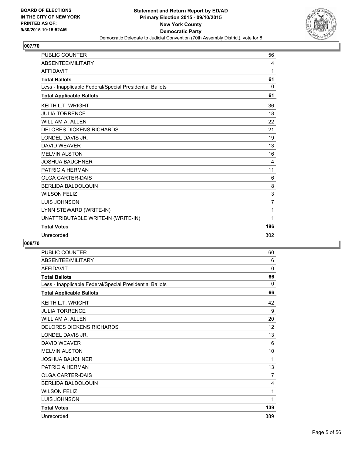

| <b>PUBLIC COUNTER</b>                                    | 56             |
|----------------------------------------------------------|----------------|
| ABSENTEE/MILITARY                                        | 4              |
| <b>AFFIDAVIT</b>                                         | 1              |
| <b>Total Ballots</b>                                     | 61             |
| Less - Inapplicable Federal/Special Presidential Ballots | 0              |
| <b>Total Applicable Ballots</b>                          | 61             |
| <b>KEITH L.T. WRIGHT</b>                                 | 36             |
| <b>JULIA TORRENCE</b>                                    | 18             |
| <b>WILLIAM A. ALLEN</b>                                  | 22             |
| <b>DELORES DICKENS RICHARDS</b>                          | 21             |
| LONDEL DAVIS JR.                                         | 19             |
| <b>DAVID WEAVER</b>                                      | 13             |
| <b>MELVIN ALSTON</b>                                     | 16             |
| <b>JOSHUA BAUCHNER</b>                                   | 4              |
| <b>PATRICIA HERMAN</b>                                   | 11             |
| <b>OLGA CARTER-DAIS</b>                                  | 6              |
| <b>BERLIDA BALDOLQUIN</b>                                | 8              |
| <b>WILSON FELIZ</b>                                      | 3              |
| LUIS JOHNSON                                             | $\overline{7}$ |
| LYNN STEWARD (WRITE-IN)                                  | 1              |
| UNATTRIBUTABLE WRITE-IN (WRITE-IN)                       | 1              |
| <b>Total Votes</b>                                       | 186            |
| Unrecorded                                               | 302            |
|                                                          |                |

| <b>PUBLIC COUNTER</b>                                    | 60          |
|----------------------------------------------------------|-------------|
| ABSENTEE/MILITARY                                        | 6           |
| <b>AFFIDAVIT</b>                                         | $\mathbf 0$ |
| <b>Total Ballots</b>                                     | 66          |
| Less - Inapplicable Federal/Special Presidential Ballots | 0           |
| <b>Total Applicable Ballots</b>                          | 66          |
| <b>KEITH L.T. WRIGHT</b>                                 | 42          |
| <b>JULIA TORRENCE</b>                                    | 9           |
| <b>WILLIAM A. ALLEN</b>                                  | 20          |
| <b>DELORES DICKENS RICHARDS</b>                          | 12          |
| LONDEL DAVIS JR.                                         | 13          |
| <b>DAVID WEAVER</b>                                      | 6           |
| <b>MELVIN ALSTON</b>                                     | 10          |
| <b>JOSHUA BAUCHNER</b>                                   | 1           |
| PATRICIA HERMAN                                          | 13          |
| <b>OLGA CARTER-DAIS</b>                                  | 7           |
| <b>BERLIDA BALDOLQUIN</b>                                | 4           |
| <b>WILSON FELIZ</b>                                      | 1           |
| <b>LUIS JOHNSON</b>                                      | 1           |
| <b>Total Votes</b>                                       | 139         |
| Unrecorded                                               | 389         |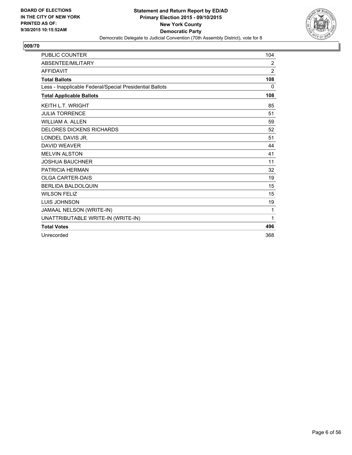

| <b>PUBLIC COUNTER</b>                                    | 104            |
|----------------------------------------------------------|----------------|
| ABSENTEE/MILITARY                                        | $\overline{2}$ |
| <b>AFFIDAVIT</b>                                         | $\overline{2}$ |
| <b>Total Ballots</b>                                     | 108            |
| Less - Inapplicable Federal/Special Presidential Ballots | 0              |
| <b>Total Applicable Ballots</b>                          | 108            |
| <b>KEITH L.T. WRIGHT</b>                                 | 85             |
| <b>JULIA TORRENCE</b>                                    | 51             |
| <b>WILLIAM A. ALLEN</b>                                  | 59             |
| <b>DELORES DICKENS RICHARDS</b>                          | 52             |
| LONDEL DAVIS JR.                                         | 51             |
| <b>DAVID WEAVER</b>                                      | 44             |
| <b>MELVIN ALSTON</b>                                     | 41             |
| <b>JOSHUA BAUCHNER</b>                                   | 11             |
| PATRICIA HERMAN                                          | 32             |
| <b>OLGA CARTER-DAIS</b>                                  | 19             |
| <b>BERLIDA BALDOLQUIN</b>                                | 15             |
| <b>WILSON FELIZ</b>                                      | 15             |
| LUIS JOHNSON                                             | 19             |
| JAMAAL NELSON (WRITE-IN)                                 | 1              |
| UNATTRIBUTABLE WRITE-IN (WRITE-IN)                       | 1              |
| <b>Total Votes</b>                                       | 496            |
| Unrecorded                                               | 368            |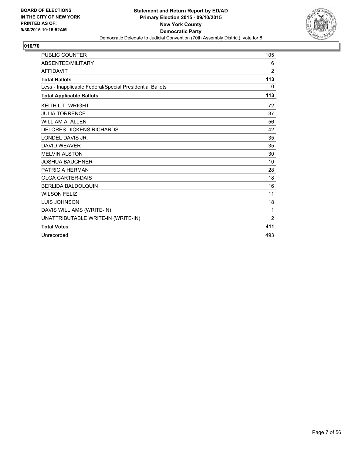

| <b>PUBLIC COUNTER</b>                                    | 105            |
|----------------------------------------------------------|----------------|
| ABSENTEE/MILITARY                                        | 6              |
| <b>AFFIDAVIT</b>                                         | $\overline{2}$ |
| <b>Total Ballots</b>                                     | 113            |
| Less - Inapplicable Federal/Special Presidential Ballots | 0              |
| <b>Total Applicable Ballots</b>                          | 113            |
| KEITH L.T. WRIGHT                                        | 72             |
| <b>JULIA TORRENCE</b>                                    | 37             |
| <b>WILLIAM A. ALLEN</b>                                  | 56             |
| <b>DELORES DICKENS RICHARDS</b>                          | 42             |
| LONDEL DAVIS JR.                                         | 35             |
| <b>DAVID WEAVER</b>                                      | 35             |
| <b>MELVIN ALSTON</b>                                     | 30             |
| <b>JOSHUA BAUCHNER</b>                                   | 10             |
| PATRICIA HERMAN                                          | 28             |
| <b>OLGA CARTER-DAIS</b>                                  | 18             |
| <b>BERLIDA BALDOLQUIN</b>                                | 16             |
| <b>WILSON FELIZ</b>                                      | 11             |
| <b>LUIS JOHNSON</b>                                      | 18             |
| DAVIS WILLIAMS (WRITE-IN)                                | 1              |
| UNATTRIBUTABLE WRITE-IN (WRITE-IN)                       | 2              |
| <b>Total Votes</b>                                       | 411            |
| Unrecorded                                               | 493            |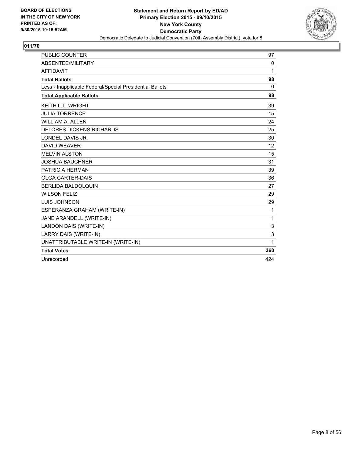

| <b>PUBLIC COUNTER</b>                                    | 97       |
|----------------------------------------------------------|----------|
| ABSENTEE/MILITARY                                        | 0        |
| <b>AFFIDAVIT</b>                                         | 1        |
| <b>Total Ballots</b>                                     | 98       |
| Less - Inapplicable Federal/Special Presidential Ballots | $\Omega$ |
| <b>Total Applicable Ballots</b>                          | 98       |
| <b>KEITH L.T. WRIGHT</b>                                 | 39       |
| <b>JULIA TORRENCE</b>                                    | 15       |
| <b>WILLIAM A. ALLEN</b>                                  | 24       |
| <b>DELORES DICKENS RICHARDS</b>                          | 25       |
| LONDEL DAVIS JR.                                         | 30       |
| <b>DAVID WEAVER</b>                                      | 12       |
| <b>MELVIN ALSTON</b>                                     | 15       |
| <b>JOSHUA BAUCHNER</b>                                   | 31       |
| PATRICIA HERMAN                                          | 39       |
| <b>OLGA CARTER-DAIS</b>                                  | 36       |
| BERLIDA BALDOLQUIN                                       | 27       |
| <b>WILSON FELIZ</b>                                      | 29       |
| LUIS JOHNSON                                             | 29       |
| ESPERANZA GRAHAM (WRITE-IN)                              | 1        |
| JANE ARANDELL (WRITE-IN)                                 | 1        |
| LANDON DAIS (WRITE-IN)                                   | 3        |
| LARRY DAIS (WRITE-IN)                                    | 3        |
| UNATTRIBUTABLE WRITE-IN (WRITE-IN)                       | 1        |
| <b>Total Votes</b>                                       | 360      |
| Unrecorded                                               | 424      |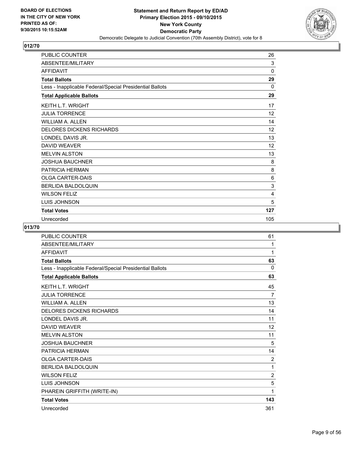

| PUBLIC COUNTER                                           | 26  |
|----------------------------------------------------------|-----|
| ABSENTEE/MILITARY                                        | 3   |
| <b>AFFIDAVIT</b>                                         | 0   |
| <b>Total Ballots</b>                                     | 29  |
| Less - Inapplicable Federal/Special Presidential Ballots | 0   |
| <b>Total Applicable Ballots</b>                          | 29  |
| <b>KEITH L.T. WRIGHT</b>                                 | 17  |
| <b>JULIA TORRENCE</b>                                    | 12  |
| <b>WILLIAM A. ALLEN</b>                                  | 14  |
| <b>DELORES DICKENS RICHARDS</b>                          | 12  |
| LONDEL DAVIS JR.                                         | 13  |
| <b>DAVID WEAVER</b>                                      | 12  |
| <b>MELVIN ALSTON</b>                                     | 13  |
| <b>JOSHUA BAUCHNER</b>                                   | 8   |
| PATRICIA HERMAN                                          | 8   |
| <b>OLGA CARTER-DAIS</b>                                  | 6   |
| <b>BERLIDA BALDOLQUIN</b>                                | 3   |
| <b>WILSON FELIZ</b>                                      | 4   |
| LUIS JOHNSON                                             | 5   |
| <b>Total Votes</b>                                       | 127 |
| Unrecorded                                               | 105 |

| <b>PUBLIC COUNTER</b>                                    | 61             |
|----------------------------------------------------------|----------------|
| ABSENTEE/MILITARY                                        | 1              |
| <b>AFFIDAVIT</b>                                         | 1              |
| <b>Total Ballots</b>                                     | 63             |
| Less - Inapplicable Federal/Special Presidential Ballots | 0              |
| <b>Total Applicable Ballots</b>                          | 63             |
| <b>KEITH L.T. WRIGHT</b>                                 | 45             |
| <b>JULIA TORRENCE</b>                                    | $\overline{7}$ |
| <b>WILLIAM A. ALLEN</b>                                  | 13             |
| <b>DELORES DICKENS RICHARDS</b>                          | 14             |
| LONDEL DAVIS JR.                                         | 11             |
| <b>DAVID WEAVER</b>                                      | 12             |
| <b>MELVIN ALSTON</b>                                     | 11             |
| <b>JOSHUA BAUCHNER</b>                                   | 5              |
| PATRICIA HERMAN                                          | 14             |
| <b>OLGA CARTER-DAIS</b>                                  | 2              |
| <b>BERLIDA BALDOLQUIN</b>                                | 1              |
| <b>WILSON FELIZ</b>                                      | $\overline{2}$ |
| <b>LUIS JOHNSON</b>                                      | 5              |
| PHAREIN GRIFFITH (WRITE-IN)                              | 1              |
| <b>Total Votes</b>                                       | 143            |
| Unrecorded                                               | 361            |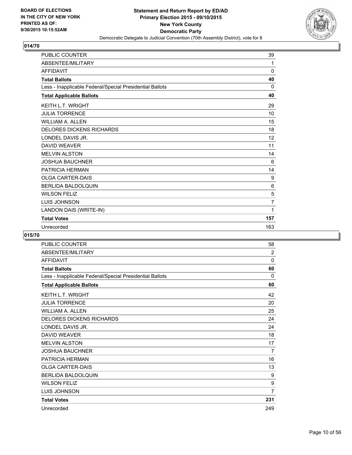

| <b>PUBLIC COUNTER</b>                                    | 39             |
|----------------------------------------------------------|----------------|
| ABSENTEE/MILITARY                                        | 1              |
| <b>AFFIDAVIT</b>                                         | 0              |
| <b>Total Ballots</b>                                     | 40             |
| Less - Inapplicable Federal/Special Presidential Ballots | 0              |
| <b>Total Applicable Ballots</b>                          | 40             |
| <b>KEITH L.T. WRIGHT</b>                                 | 29             |
| <b>JULIA TORRENCE</b>                                    | 10             |
| <b>WILLIAM A. ALLEN</b>                                  | 15             |
| <b>DELORES DICKENS RICHARDS</b>                          | 18             |
| LONDEL DAVIS JR.                                         | 12             |
| <b>DAVID WEAVER</b>                                      | 11             |
| <b>MELVIN ALSTON</b>                                     | 14             |
| <b>JOSHUA BAUCHNER</b>                                   | 6              |
| PATRICIA HERMAN                                          | 14             |
| <b>OLGA CARTER-DAIS</b>                                  | 9              |
| <b>BERLIDA BALDOLQUIN</b>                                | 6              |
| <b>WILSON FELIZ</b>                                      | 5              |
| LUIS JOHNSON                                             | $\overline{7}$ |
| LANDON DAIS (WRITE-IN)                                   | 1              |
| <b>Total Votes</b>                                       | 157            |
| Unrecorded                                               | 163            |

| <b>PUBLIC COUNTER</b>                                    | 58             |
|----------------------------------------------------------|----------------|
| ABSENTEE/MILITARY                                        | $\overline{2}$ |
| <b>AFFIDAVIT</b>                                         | $\mathbf{0}$   |
| <b>Total Ballots</b>                                     | 60             |
| Less - Inapplicable Federal/Special Presidential Ballots | 0              |
| <b>Total Applicable Ballots</b>                          | 60             |
| <b>KEITH L.T. WRIGHT</b>                                 | 42             |
| <b>JULIA TORRENCE</b>                                    | 20             |
| <b>WILLIAM A. ALLEN</b>                                  | 25             |
| <b>DELORES DICKENS RICHARDS</b>                          | 24             |
| LONDEL DAVIS JR.                                         | 24             |
| <b>DAVID WEAVER</b>                                      | 18             |
| <b>MELVIN ALSTON</b>                                     | 17             |
| <b>JOSHUA BAUCHNER</b>                                   | 7              |
| PATRICIA HERMAN                                          | 16             |
| <b>OLGA CARTER-DAIS</b>                                  | 13             |
| BERLIDA BALDOLQUIN                                       | 9              |
| <b>WILSON FELIZ</b>                                      | 9              |
| LUIS JOHNSON                                             | $\overline{7}$ |
| <b>Total Votes</b>                                       | 231            |
| Unrecorded                                               | 249            |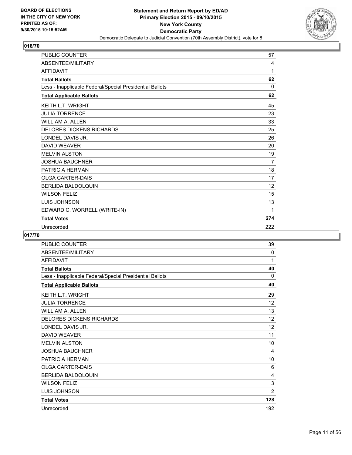

| <b>PUBLIC COUNTER</b>                                    | 57             |
|----------------------------------------------------------|----------------|
| ABSENTEE/MILITARY                                        | 4              |
| <b>AFFIDAVIT</b>                                         | 1              |
| <b>Total Ballots</b>                                     | 62             |
| Less - Inapplicable Federal/Special Presidential Ballots | $\Omega$       |
| <b>Total Applicable Ballots</b>                          | 62             |
| <b>KEITH L.T. WRIGHT</b>                                 | 45             |
| <b>JULIA TORRENCE</b>                                    | 23             |
| <b>WILLIAM A. ALLEN</b>                                  | 33             |
| <b>DELORES DICKENS RICHARDS</b>                          | 25             |
| LONDEL DAVIS JR.                                         | 26             |
| <b>DAVID WEAVER</b>                                      | 20             |
| <b>MELVIN ALSTON</b>                                     | 19             |
| <b>JOSHUA BAUCHNER</b>                                   | $\overline{7}$ |
| <b>PATRICIA HERMAN</b>                                   | 18             |
| <b>OLGA CARTER-DAIS</b>                                  | 17             |
| <b>BERLIDA BALDOLQUIN</b>                                | 12             |
| <b>WILSON FELIZ</b>                                      | 15             |
| LUIS JOHNSON                                             | 13             |
| EDWARD C. WORRELL (WRITE-IN)                             | 1              |
| <b>Total Votes</b>                                       | 274            |
| Unrecorded                                               | 222            |

| <b>PUBLIC COUNTER</b>                                    | 39             |
|----------------------------------------------------------|----------------|
| ABSENTEE/MILITARY                                        | 0              |
| <b>AFFIDAVIT</b>                                         | 1              |
| <b>Total Ballots</b>                                     | 40             |
| Less - Inapplicable Federal/Special Presidential Ballots | 0              |
| <b>Total Applicable Ballots</b>                          | 40             |
| <b>KEITH L.T. WRIGHT</b>                                 | 29             |
| <b>JULIA TORRENCE</b>                                    | 12             |
| <b>WILLIAM A. ALLEN</b>                                  | 13             |
| <b>DELORES DICKENS RICHARDS</b>                          | 12             |
| LONDEL DAVIS JR.                                         | 12             |
| <b>DAVID WEAVER</b>                                      | 11             |
| <b>MELVIN ALSTON</b>                                     | 10             |
| <b>JOSHUA BAUCHNER</b>                                   | 4              |
| PATRICIA HERMAN                                          | 10             |
| <b>OLGA CARTER-DAIS</b>                                  | 6              |
| BERLIDA BALDOLQUIN                                       | 4              |
| <b>WILSON FELIZ</b>                                      | 3              |
| LUIS JOHNSON                                             | $\overline{2}$ |
| <b>Total Votes</b>                                       | 128            |
| Unrecorded                                               | 192            |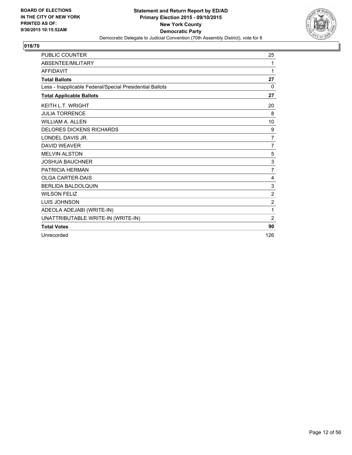![](_page_11_Picture_2.jpeg)

| <b>PUBLIC COUNTER</b>                                    | 25             |
|----------------------------------------------------------|----------------|
| ABSENTEE/MILITARY                                        | 1              |
| <b>AFFIDAVIT</b>                                         | 1              |
| <b>Total Ballots</b>                                     | 27             |
| Less - Inapplicable Federal/Special Presidential Ballots | 0              |
| <b>Total Applicable Ballots</b>                          | 27             |
| <b>KEITH L.T. WRIGHT</b>                                 | 20             |
| <b>JULIA TORRENCE</b>                                    | 8              |
| <b>WILLIAM A. ALLEN</b>                                  | 10             |
| <b>DELORES DICKENS RICHARDS</b>                          | 9              |
| LONDEL DAVIS JR.                                         | $\overline{7}$ |
| <b>DAVID WEAVER</b>                                      | $\overline{7}$ |
| <b>MELVIN ALSTON</b>                                     | 5              |
| <b>JOSHUA BAUCHNER</b>                                   | 3              |
| PATRICIA HERMAN                                          | $\overline{7}$ |
| <b>OLGA CARTER-DAIS</b>                                  | 4              |
| <b>BERLIDA BALDOLQUIN</b>                                | 3              |
| <b>WILSON FELIZ</b>                                      | $\overline{2}$ |
| LUIS JOHNSON                                             | $\overline{2}$ |
| ADEOLA ADEJABI (WRITE-IN)                                | 1              |
| UNATTRIBUTABLE WRITE-IN (WRITE-IN)                       | $\overline{2}$ |
| <b>Total Votes</b>                                       | 90             |
| Unrecorded                                               | 126            |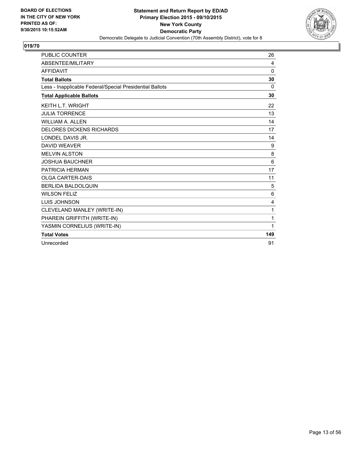![](_page_12_Picture_2.jpeg)

| <b>PUBLIC COUNTER</b>                                    | 26             |
|----------------------------------------------------------|----------------|
| <b>ABSENTEE/MILITARY</b>                                 | 4              |
| <b>AFFIDAVIT</b>                                         | $\Omega$       |
| <b>Total Ballots</b>                                     | 30             |
| Less - Inapplicable Federal/Special Presidential Ballots | 0              |
| <b>Total Applicable Ballots</b>                          | 30             |
| <b>KEITH L.T. WRIGHT</b>                                 | 22             |
| <b>JULIA TORRENCE</b>                                    | 13             |
| WII I IAM A. AI I FN                                     | 14             |
| <b>DELORES DICKENS RICHARDS</b>                          | 17             |
| LONDEL DAVIS JR.                                         | 14             |
| <b>DAVID WEAVER</b>                                      | 9              |
| <b>MELVIN ALSTON</b>                                     | 8              |
| <b>JOSHUA BAUCHNER</b>                                   | 6              |
| PATRICIA HERMAN                                          | 17             |
| <b>OLGA CARTER-DAIS</b>                                  | 11             |
| <b>BERLIDA BALDOLQUIN</b>                                | 5              |
| <b>WILSON FELIZ</b>                                      | 6              |
| <b>LUIS JOHNSON</b>                                      | $\overline{4}$ |
| CLEVELAND MANLEY (WRITE-IN)                              | 1              |
| PHAREIN GRIFFITH (WRITE-IN)                              | 1              |
| YASMIN CORNELIUS (WRITE-IN)                              | 1              |
| <b>Total Votes</b>                                       | 149            |
| Unrecorded                                               | 91             |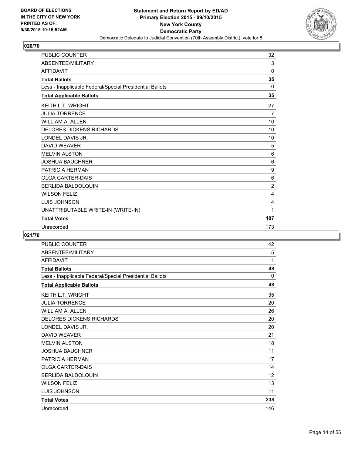![](_page_13_Picture_2.jpeg)

| <b>PUBLIC COUNTER</b>                                    | 32             |
|----------------------------------------------------------|----------------|
| ABSENTEE/MILITARY                                        | 3              |
| <b>AFFIDAVIT</b>                                         | $\Omega$       |
| <b>Total Ballots</b>                                     | 35             |
| Less - Inapplicable Federal/Special Presidential Ballots | 0              |
| <b>Total Applicable Ballots</b>                          | 35             |
| <b>KEITH L.T. WRIGHT</b>                                 | 27             |
| <b>JULIA TORRENCE</b>                                    | 7              |
| <b>WILLIAM A. ALLEN</b>                                  | 10             |
| <b>DELORES DICKENS RICHARDS</b>                          | 10             |
| LONDEL DAVIS JR.                                         | 10             |
| <b>DAVID WEAVER</b>                                      | 5              |
| <b>MELVIN ALSTON</b>                                     | 6              |
| <b>JOSHUA BAUCHNER</b>                                   | 6              |
| <b>PATRICIA HERMAN</b>                                   | 9              |
| <b>OLGA CARTER-DAIS</b>                                  | 6              |
| <b>BERLIDA BALDOLQUIN</b>                                | $\overline{2}$ |
| <b>WILSON FELIZ</b>                                      | 4              |
| <b>LUIS JOHNSON</b>                                      | 4              |
| UNATTRIBUTABLE WRITE-IN (WRITE-IN)                       | 1              |
| <b>Total Votes</b>                                       | 107            |
| Unrecorded                                               | 173            |

| <b>PUBLIC COUNTER</b>                                    | 42  |
|----------------------------------------------------------|-----|
| ABSENTEE/MILITARY                                        | 5   |
| <b>AFFIDAVIT</b>                                         | 1   |
| <b>Total Ballots</b>                                     | 48  |
| Less - Inapplicable Federal/Special Presidential Ballots | 0   |
| <b>Total Applicable Ballots</b>                          | 48  |
| <b>KEITH L.T. WRIGHT</b>                                 | 35  |
| <b>JULIA TORRENCE</b>                                    | 20  |
| <b>WILLIAM A. ALLEN</b>                                  | 26  |
| <b>DELORES DICKENS RICHARDS</b>                          | 20  |
| LONDEL DAVIS JR.                                         | 20  |
| <b>DAVID WEAVER</b>                                      | 21  |
| <b>MELVIN ALSTON</b>                                     | 18  |
| <b>JOSHUA BAUCHNER</b>                                   | 11  |
| PATRICIA HERMAN                                          | 17  |
| <b>OLGA CARTER-DAIS</b>                                  | 14  |
| <b>BERLIDA BALDOLQUIN</b>                                | 12  |
| <b>WILSON FELIZ</b>                                      | 13  |
| LUIS JOHNSON                                             | 11  |
| <b>Total Votes</b>                                       | 238 |
| Unrecorded                                               | 146 |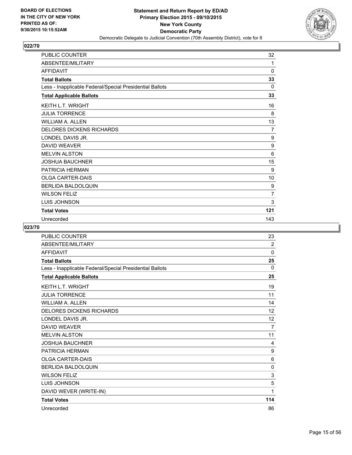![](_page_14_Picture_2.jpeg)

| <b>PUBLIC COUNTER</b>                                    | 32  |
|----------------------------------------------------------|-----|
| ABSENTEE/MILITARY                                        | 1   |
| <b>AFFIDAVIT</b>                                         | 0   |
| <b>Total Ballots</b>                                     | 33  |
| Less - Inapplicable Federal/Special Presidential Ballots | 0   |
| <b>Total Applicable Ballots</b>                          | 33  |
| <b>KEITH L.T. WRIGHT</b>                                 | 16  |
| <b>JULIA TORRENCE</b>                                    | 8   |
| <b>WILLIAM A. ALLEN</b>                                  | 13  |
| <b>DELORES DICKENS RICHARDS</b>                          | 7   |
| LONDEL DAVIS JR.                                         | 9   |
| <b>DAVID WEAVER</b>                                      | 9   |
| <b>MELVIN ALSTON</b>                                     | 6   |
| <b>JOSHUA BAUCHNER</b>                                   | 15  |
| PATRICIA HERMAN                                          | 9   |
| <b>OLGA CARTER-DAIS</b>                                  | 10  |
| <b>BERLIDA BALDOLQUIN</b>                                | 9   |
| <b>WILSON FELIZ</b>                                      | 7   |
| <b>LUIS JOHNSON</b>                                      | 3   |
| <b>Total Votes</b>                                       | 121 |
| Unrecorded                                               | 143 |

| <b>PUBLIC COUNTER</b>                                    | 23             |
|----------------------------------------------------------|----------------|
| ABSENTEE/MILITARY                                        | 2              |
| <b>AFFIDAVIT</b>                                         | 0              |
| <b>Total Ballots</b>                                     | 25             |
| Less - Inapplicable Federal/Special Presidential Ballots | $\Omega$       |
| <b>Total Applicable Ballots</b>                          | 25             |
| <b>KEITH L.T. WRIGHT</b>                                 | 19             |
| <b>JULIA TORRENCE</b>                                    | 11             |
| <b>WILLIAM A. ALLEN</b>                                  | 14             |
| <b>DELORES DICKENS RICHARDS</b>                          | 12             |
| LONDEL DAVIS JR.                                         | 12             |
| <b>DAVID WEAVER</b>                                      | $\overline{7}$ |
| <b>MELVIN ALSTON</b>                                     | 11             |
| <b>JOSHUA BAUCHNER</b>                                   | 4              |
| <b>PATRICIA HERMAN</b>                                   | 9              |
| <b>OLGA CARTER-DAIS</b>                                  | 6              |
| <b>BERLIDA BALDOLOUIN</b>                                | 0              |
| <b>WILSON FELIZ</b>                                      | 3              |
| <b>LUIS JOHNSON</b>                                      | 5              |
| DAVID WEVER (WRITE-IN)                                   | 1              |
| <b>Total Votes</b>                                       | 114            |
| Unrecorded                                               | 86             |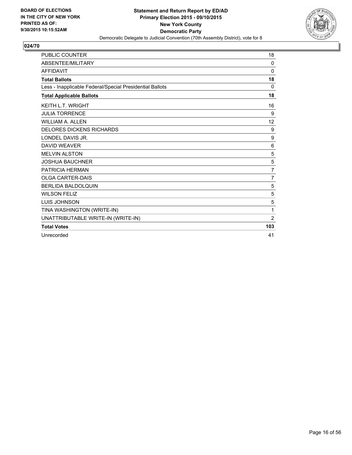![](_page_15_Picture_2.jpeg)

| <b>PUBLIC COUNTER</b>                                    | 18             |
|----------------------------------------------------------|----------------|
| ABSENTEE/MILITARY                                        | $\Omega$       |
| <b>AFFIDAVIT</b>                                         | 0              |
| <b>Total Ballots</b>                                     | 18             |
| Less - Inapplicable Federal/Special Presidential Ballots | 0              |
| <b>Total Applicable Ballots</b>                          | 18             |
| <b>KEITH L.T. WRIGHT</b>                                 | 16             |
| <b>JULIA TORRENCE</b>                                    | 9              |
| <b>WILLIAM A. ALLEN</b>                                  | 12             |
| <b>DELORES DICKENS RICHARDS</b>                          | 9              |
| LONDEL DAVIS JR.                                         | 9              |
| <b>DAVID WEAVER</b>                                      | 6              |
| <b>MELVIN ALSTON</b>                                     | 5              |
| <b>JOSHUA BAUCHNER</b>                                   | 5              |
| PATRICIA HERMAN                                          | $\overline{7}$ |
| <b>OLGA CARTER-DAIS</b>                                  | $\overline{7}$ |
| <b>BERLIDA BALDOLQUIN</b>                                | 5              |
| <b>WILSON FELIZ</b>                                      | 5              |
| <b>LUIS JOHNSON</b>                                      | 5              |
| TINA WASHINGTON (WRITE-IN)                               | 1              |
| UNATTRIBUTABLE WRITE-IN (WRITE-IN)                       | $\overline{2}$ |
| <b>Total Votes</b>                                       | 103            |
| Unrecorded                                               | 41             |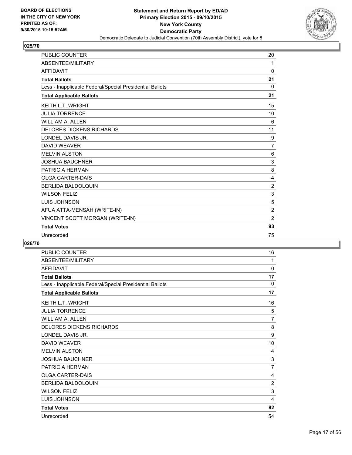![](_page_16_Picture_2.jpeg)

| <b>PUBLIC COUNTER</b>                                    | 20             |
|----------------------------------------------------------|----------------|
| ABSENTEE/MILITARY                                        | 1              |
| <b>AFFIDAVIT</b>                                         | 0              |
| <b>Total Ballots</b>                                     | 21             |
| Less - Inapplicable Federal/Special Presidential Ballots | $\Omega$       |
| <b>Total Applicable Ballots</b>                          | 21             |
| <b>KEITH L.T. WRIGHT</b>                                 | 15             |
| <b>JULIA TORRENCE</b>                                    | 10             |
| <b>WILLIAM A. ALLEN</b>                                  | 6              |
| <b>DELORES DICKENS RICHARDS</b>                          | 11             |
| LONDEL DAVIS JR.                                         | 9              |
| <b>DAVID WEAVER</b>                                      | $\overline{7}$ |
| <b>MELVIN ALSTON</b>                                     | 6              |
| <b>JOSHUA BAUCHNER</b>                                   | 3              |
| PATRICIA HERMAN                                          | 8              |
| <b>OLGA CARTER-DAIS</b>                                  | 4              |
| <b>BERLIDA BALDOLQUIN</b>                                | $\overline{c}$ |
| <b>WILSON FELIZ</b>                                      | 3              |
| <b>LUIS JOHNSON</b>                                      | 5              |
| AFUA ATTA-MENSAH (WRITE-IN)                              | $\overline{2}$ |
| VINCENT SCOTT MORGAN (WRITE-IN)                          | $\overline{2}$ |
| <b>Total Votes</b>                                       | 93             |
| Unrecorded                                               | 75             |

| <b>PUBLIC COUNTER</b>                                    | 16             |
|----------------------------------------------------------|----------------|
| ABSENTEE/MILITARY                                        | 1              |
| <b>AFFIDAVIT</b>                                         | 0              |
| <b>Total Ballots</b>                                     | 17             |
| Less - Inapplicable Federal/Special Presidential Ballots | 0              |
| <b>Total Applicable Ballots</b>                          | 17             |
| <b>KEITH L.T. WRIGHT</b>                                 | 16             |
| <b>JULIA TORRENCE</b>                                    | 5              |
| <b>WILLIAM A. ALLEN</b>                                  | $\overline{7}$ |
| <b>DELORES DICKENS RICHARDS</b>                          | 8              |
| LONDEL DAVIS JR.                                         | 9              |
| <b>DAVID WEAVER</b>                                      | 10             |
| <b>MELVIN ALSTON</b>                                     | 4              |
| <b>JOSHUA BAUCHNER</b>                                   | 3              |
| PATRICIA HERMAN                                          | $\overline{7}$ |
| <b>OLGA CARTER-DAIS</b>                                  | 4              |
| <b>BERLIDA BALDOLQUIN</b>                                | $\overline{2}$ |
| <b>WILSON FELIZ</b>                                      | 3              |
| <b>LUIS JOHNSON</b>                                      | 4              |
| <b>Total Votes</b>                                       | 82             |
| Unrecorded                                               | 54             |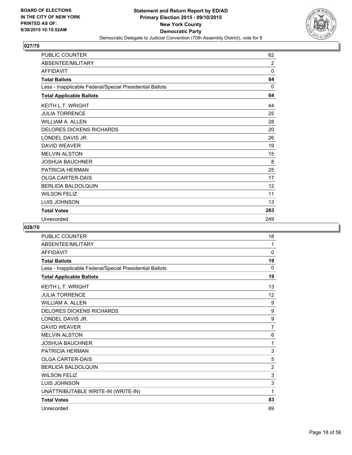![](_page_17_Picture_2.jpeg)

| PUBLIC COUNTER                                           | 62             |
|----------------------------------------------------------|----------------|
| ABSENTEE/MILITARY                                        | $\overline{2}$ |
| <b>AFFIDAVIT</b>                                         | $\mathbf{0}$   |
| <b>Total Ballots</b>                                     | 64             |
| Less - Inapplicable Federal/Special Presidential Ballots | 0              |
| <b>Total Applicable Ballots</b>                          | 64             |
| <b>KEITH L.T. WRIGHT</b>                                 | 44             |
| <b>JULIA TORRENCE</b>                                    | 25             |
| WILLIAM A. ALLEN                                         | 28             |
| <b>DELORES DICKENS RICHARDS</b>                          | 20             |
| LONDEL DAVIS JR.                                         | 26             |
| <b>DAVID WEAVER</b>                                      | 19             |
| <b>MELVIN ALSTON</b>                                     | 15             |
| <b>JOSHUA BAUCHNER</b>                                   | 8              |
| <b>PATRICIA HERMAN</b>                                   | 25             |
| <b>OLGA CARTER-DAIS</b>                                  | 17             |
| <b>BERLIDA BALDOLQUIN</b>                                | 12             |
| <b>WILSON FELIZ</b>                                      | 11             |
| LUIS JOHNSON                                             | 13             |
| <b>Total Votes</b>                                       | 263            |
| Unrecorded                                               | 249            |

| <b>PUBLIC COUNTER</b>                                    | 18             |
|----------------------------------------------------------|----------------|
| ABSENTEE/MILITARY                                        | 1              |
| <b>AFFIDAVIT</b>                                         | 0              |
| <b>Total Ballots</b>                                     | 19             |
| Less - Inapplicable Federal/Special Presidential Ballots | 0              |
| <b>Total Applicable Ballots</b>                          | 19             |
| <b>KEITH L.T. WRIGHT</b>                                 | 13             |
| <b>JULIA TORRENCE</b>                                    | 12             |
| <b>WILLIAM A. ALLEN</b>                                  | 9              |
| <b>DELORES DICKENS RICHARDS</b>                          | 9              |
| LONDEL DAVIS JR.                                         | 9              |
| <b>DAVID WEAVER</b>                                      | $\overline{7}$ |
| <b>MELVIN ALSTON</b>                                     | 6              |
| <b>JOSHUA BAUCHNER</b>                                   | 1              |
| PATRICIA HERMAN                                          | 3              |
| <b>OLGA CARTER-DAIS</b>                                  | 5              |
| <b>BERLIDA BALDOLQUIN</b>                                | $\overline{2}$ |
| <b>WILSON FELIZ</b>                                      | 3              |
| <b>LUIS JOHNSON</b>                                      | 3              |
| UNATTRIBUTABLE WRITE-IN (WRITE-IN)                       | 1              |
| <b>Total Votes</b>                                       | 83             |
| Unrecorded                                               | 69             |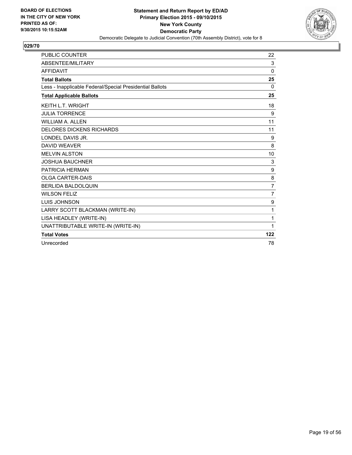![](_page_18_Picture_2.jpeg)

| <b>PUBLIC COUNTER</b>                                    | 22             |
|----------------------------------------------------------|----------------|
| ABSENTEE/MILITARY                                        | 3              |
| <b>AFFIDAVIT</b>                                         | $\Omega$       |
| <b>Total Ballots</b>                                     | 25             |
| Less - Inapplicable Federal/Special Presidential Ballots | 0              |
| <b>Total Applicable Ballots</b>                          | 25             |
| <b>KEITH L.T. WRIGHT</b>                                 | 18             |
| <b>JULIA TORRENCE</b>                                    | 9              |
| <b>WILLIAM A. ALLEN</b>                                  | 11             |
| <b>DELORES DICKENS RICHARDS</b>                          | 11             |
| LONDEL DAVIS JR.                                         | 9              |
| <b>DAVID WEAVER</b>                                      | 8              |
| <b>MELVIN ALSTON</b>                                     | 10             |
| <b>JOSHUA BAUCHNER</b>                                   | 3              |
| PATRICIA HERMAN                                          | 9              |
| <b>OLGA CARTER-DAIS</b>                                  | 8              |
| <b>BERLIDA BALDOLQUIN</b>                                | $\overline{7}$ |
| <b>WILSON FELIZ</b>                                      | 7              |
| <b>LUIS JOHNSON</b>                                      | 9              |
| LARRY SCOTT BLACKMAN (WRITE-IN)                          | 1              |
| LISA HEADLEY (WRITE-IN)                                  | 1              |
| UNATTRIBUTABLE WRITE-IN (WRITE-IN)                       | 1              |
| <b>Total Votes</b>                                       | 122            |
| Unrecorded                                               | 78             |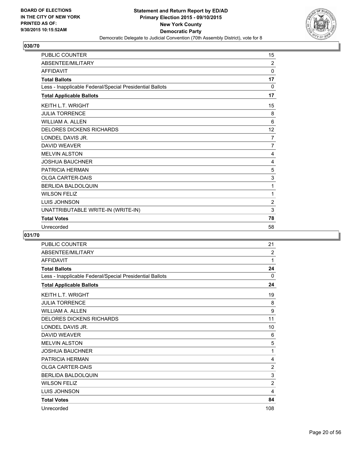![](_page_19_Picture_2.jpeg)

| <b>PUBLIC COUNTER</b>                                    | 15             |
|----------------------------------------------------------|----------------|
| ABSENTEE/MILITARY                                        | $\overline{2}$ |
| <b>AFFIDAVIT</b>                                         | 0              |
| <b>Total Ballots</b>                                     | 17             |
| Less - Inapplicable Federal/Special Presidential Ballots | 0              |
| <b>Total Applicable Ballots</b>                          | 17             |
| <b>KEITH L.T. WRIGHT</b>                                 | 15             |
| <b>JULIA TORRENCE</b>                                    | 8              |
| <b>WILLIAM A. ALLEN</b>                                  | 6              |
| <b>DELORES DICKENS RICHARDS</b>                          | 12             |
| LONDEL DAVIS JR.                                         | 7              |
| <b>DAVID WEAVER</b>                                      | 7              |
| <b>MELVIN ALSTON</b>                                     | 4              |
| <b>JOSHUA BAUCHNER</b>                                   | 4              |
| <b>PATRICIA HERMAN</b>                                   | 5              |
| <b>OLGA CARTER-DAIS</b>                                  | 3              |
| <b>BERLIDA BALDOLQUIN</b>                                | 1              |
| <b>WILSON FELIZ</b>                                      | 1              |
| <b>LUIS JOHNSON</b>                                      | $\overline{2}$ |
| UNATTRIBUTABLE WRITE-IN (WRITE-IN)                       | 3              |
| <b>Total Votes</b>                                       | 78             |
| Unrecorded                                               | 58             |

| <b>PUBLIC COUNTER</b>                                    | 21             |
|----------------------------------------------------------|----------------|
| ABSENTEE/MILITARY                                        | 2              |
| <b>AFFIDAVIT</b>                                         | 1              |
| <b>Total Ballots</b>                                     | 24             |
| Less - Inapplicable Federal/Special Presidential Ballots | 0              |
| <b>Total Applicable Ballots</b>                          | 24             |
| <b>KEITH L.T. WRIGHT</b>                                 | 19             |
| <b>JULIA TORRENCE</b>                                    | 8              |
| <b>WILLIAM A. ALLEN</b>                                  | 9              |
| <b>DELORES DICKENS RICHARDS</b>                          | 11             |
| LONDEL DAVIS JR.                                         | 10             |
| <b>DAVID WEAVER</b>                                      | 6              |
| <b>MELVIN ALSTON</b>                                     | 5              |
| <b>JOSHUA BAUCHNER</b>                                   | 1              |
| PATRICIA HERMAN                                          | 4              |
| <b>OLGA CARTER-DAIS</b>                                  | $\overline{2}$ |
| BERLIDA BALDOLQUIN                                       | 3              |
| <b>WILSON FELIZ</b>                                      | $\overline{2}$ |
| LUIS JOHNSON                                             | 4              |
| <b>Total Votes</b>                                       | 84             |
| Unrecorded                                               | 108            |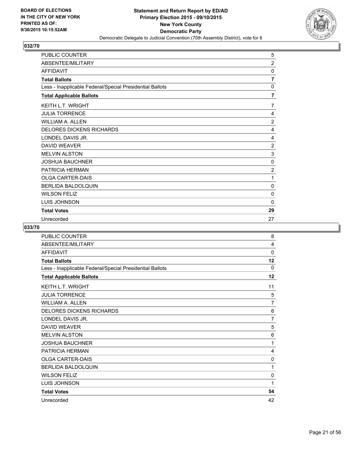![](_page_20_Picture_2.jpeg)

| PUBLIC COUNTER                                           | 5              |
|----------------------------------------------------------|----------------|
| ABSENTEE/MILITARY                                        | $\overline{2}$ |
| <b>AFFIDAVIT</b>                                         | 0              |
| <b>Total Ballots</b>                                     | 7              |
| Less - Inapplicable Federal/Special Presidential Ballots | 0              |
| <b>Total Applicable Ballots</b>                          | 7              |
| <b>KEITH L.T. WRIGHT</b>                                 | 7              |
| <b>JULIA TORRENCE</b>                                    | 4              |
| <b>WILLIAM A. ALLEN</b>                                  | $\overline{2}$ |
| <b>DELORES DICKENS RICHARDS</b>                          | 4              |
| LONDEL DAVIS JR.                                         | 4              |
| <b>DAVID WEAVER</b>                                      | 2              |
| <b>MELVIN ALSTON</b>                                     | 3              |
| <b>JOSHUA BAUCHNER</b>                                   | 0              |
| PATRICIA HERMAN                                          | $\overline{2}$ |
| <b>OLGA CARTER-DAIS</b>                                  | 1              |
| <b>BERLIDA BALDOLQUIN</b>                                | 0              |
| <b>WILSON FELIZ</b>                                      | 0              |
| <b>LUIS JOHNSON</b>                                      | $\Omega$       |
| <b>Total Votes</b>                                       | 29             |
| Unrecorded                                               | 27             |

| PUBLIC COUNTER                                           | 8              |
|----------------------------------------------------------|----------------|
| ABSENTEE/MILITARY                                        | 4              |
| <b>AFFIDAVIT</b>                                         | 0              |
| <b>Total Ballots</b>                                     | 12             |
| Less - Inapplicable Federal/Special Presidential Ballots | 0              |
| <b>Total Applicable Ballots</b>                          | 12             |
| <b>KEITH L.T. WRIGHT</b>                                 | 11             |
| <b>JULIA TORRENCE</b>                                    | 5              |
| <b>WILLIAM A. ALLEN</b>                                  | 7              |
| <b>DELORES DICKENS RICHARDS</b>                          | 6              |
| LONDEL DAVIS JR.                                         | $\overline{7}$ |
| DAVID WEAVER                                             | 5              |
| <b>MELVIN ALSTON</b>                                     | 6              |
| <b>JOSHUA BAUCHNER</b>                                   | 1              |
| PATRICIA HERMAN                                          | 4              |
| <b>OLGA CARTER-DAIS</b>                                  | 0              |
| <b>BERLIDA BALDOLQUIN</b>                                | 1              |
| <b>WILSON FELIZ</b>                                      | 0              |
| LUIS JOHNSON                                             | 1              |
| <b>Total Votes</b>                                       | 54             |
| Unrecorded                                               | 42             |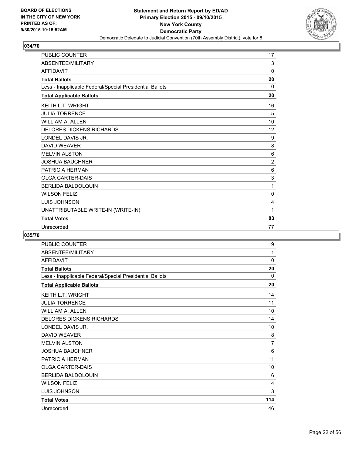![](_page_21_Picture_2.jpeg)

| <b>PUBLIC COUNTER</b>                                    | 17             |
|----------------------------------------------------------|----------------|
| ABSENTEE/MILITARY                                        | 3              |
| <b>AFFIDAVIT</b>                                         | 0              |
| <b>Total Ballots</b>                                     | 20             |
| Less - Inapplicable Federal/Special Presidential Ballots | 0              |
| <b>Total Applicable Ballots</b>                          | 20             |
| <b>KEITH L.T. WRIGHT</b>                                 | 16             |
| <b>JULIA TORRENCE</b>                                    | 5              |
| <b>WILLIAM A. ALLEN</b>                                  | 10             |
| <b>DELORES DICKENS RICHARDS</b>                          | 12             |
| LONDEL DAVIS JR.                                         | 9              |
| <b>DAVID WEAVER</b>                                      | 8              |
| <b>MELVIN ALSTON</b>                                     | 6              |
| <b>JOSHUA BAUCHNER</b>                                   | $\overline{2}$ |
| <b>PATRICIA HERMAN</b>                                   | 6              |
| <b>OLGA CARTER-DAIS</b>                                  | 3              |
| <b>BERLIDA BALDOLQUIN</b>                                | 1              |
| <b>WILSON FELIZ</b>                                      | $\mathbf{0}$   |
| LUIS JOHNSON                                             | 4              |
| UNATTRIBUTABLE WRITE-IN (WRITE-IN)                       | 1              |
| <b>Total Votes</b>                                       | 83             |
| Unrecorded                                               | 77             |

| <b>PUBLIC COUNTER</b>                                    | 19             |
|----------------------------------------------------------|----------------|
| ABSENTEE/MILITARY                                        | 1              |
| <b>AFFIDAVIT</b>                                         | $\mathbf{0}$   |
| <b>Total Ballots</b>                                     | 20             |
| Less - Inapplicable Federal/Special Presidential Ballots | 0              |
| <b>Total Applicable Ballots</b>                          | 20             |
| <b>KEITH L.T. WRIGHT</b>                                 | 14             |
| <b>JULIA TORRENCE</b>                                    | 11             |
| <b>WILLIAM A. ALLEN</b>                                  | 10             |
| <b>DELORES DICKENS RICHARDS</b>                          | 14             |
| LONDEL DAVIS JR.                                         | 10             |
| <b>DAVID WEAVER</b>                                      | 8              |
| <b>MELVIN ALSTON</b>                                     | $\overline{7}$ |
| <b>JOSHUA BAUCHNER</b>                                   | 6              |
| <b>PATRICIA HERMAN</b>                                   | 11             |
| <b>OLGA CARTER-DAIS</b>                                  | 10             |
| BERLIDA BALDOLQUIN                                       | 6              |
| <b>WILSON FELIZ</b>                                      | 4              |
| LUIS JOHNSON                                             | 3              |
| <b>Total Votes</b>                                       | 114            |
| Unrecorded                                               | 46             |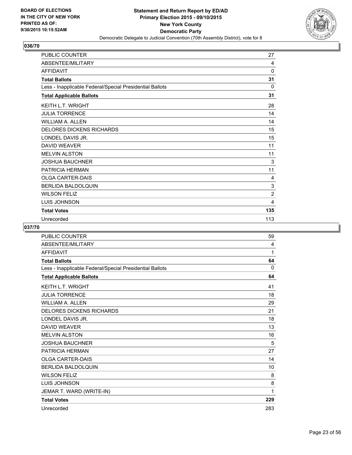![](_page_22_Picture_2.jpeg)

| PUBLIC COUNTER                                           | 27             |
|----------------------------------------------------------|----------------|
| ABSENTEE/MILITARY                                        | 4              |
| <b>AFFIDAVIT</b>                                         | 0              |
| <b>Total Ballots</b>                                     | 31             |
| Less - Inapplicable Federal/Special Presidential Ballots | 0              |
| <b>Total Applicable Ballots</b>                          | 31             |
| <b>KEITH L.T. WRIGHT</b>                                 | 28             |
| <b>JULIA TORRENCE</b>                                    | 14             |
| <b>WILLIAM A. ALLEN</b>                                  | 14             |
| <b>DELORES DICKENS RICHARDS</b>                          | 15             |
| LONDEL DAVIS JR.                                         | 15             |
| <b>DAVID WEAVER</b>                                      | 11             |
| <b>MELVIN ALSTON</b>                                     | 11             |
| <b>JOSHUA BAUCHNER</b>                                   | 3              |
| PATRICIA HERMAN                                          | 11             |
| <b>OLGA CARTER-DAIS</b>                                  | 4              |
| <b>BERLIDA BALDOLQUIN</b>                                | 3              |
| <b>WILSON FELIZ</b>                                      | $\overline{2}$ |
| <b>LUIS JOHNSON</b>                                      | 4              |
| <b>Total Votes</b>                                       | 135            |
| Unrecorded                                               | 113            |

| <b>PUBLIC COUNTER</b>                                    | 59  |
|----------------------------------------------------------|-----|
| ABSENTEE/MILITARY                                        | 4   |
| <b>AFFIDAVIT</b>                                         | 1   |
| <b>Total Ballots</b>                                     | 64  |
| Less - Inapplicable Federal/Special Presidential Ballots | 0   |
| <b>Total Applicable Ballots</b>                          | 64  |
| <b>KEITH L.T. WRIGHT</b>                                 | 41  |
| <b>JULIA TORRENCE</b>                                    | 18  |
| <b>WILLIAM A. ALLEN</b>                                  | 29  |
| <b>DELORES DICKENS RICHARDS</b>                          | 21  |
| LONDEL DAVIS JR.                                         | 18  |
| <b>DAVID WEAVER</b>                                      | 13  |
| <b>MELVIN ALSTON</b>                                     | 16  |
| <b>JOSHUA BAUCHNER</b>                                   | 5   |
| PATRICIA HERMAN                                          | 27  |
| <b>OLGA CARTER-DAIS</b>                                  | 14  |
| <b>BERLIDA BALDOLQUIN</b>                                | 10  |
| <b>WILSON FELIZ</b>                                      | 8   |
| <b>LUIS JOHNSON</b>                                      | 8   |
| JEMAR T. WARD (WRITE-IN)                                 | 1   |
| <b>Total Votes</b>                                       | 229 |
| Unrecorded                                               | 283 |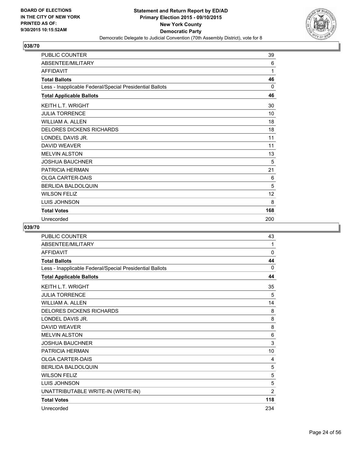![](_page_23_Picture_2.jpeg)

| PUBLIC COUNTER                                           | 39  |
|----------------------------------------------------------|-----|
| ABSENTEE/MILITARY                                        | 6   |
| <b>AFFIDAVIT</b>                                         | 1   |
| <b>Total Ballots</b>                                     | 46  |
| Less - Inapplicable Federal/Special Presidential Ballots | 0   |
| <b>Total Applicable Ballots</b>                          | 46  |
| <b>KEITH L.T. WRIGHT</b>                                 | 30  |
| <b>JULIA TORRENCE</b>                                    | 10  |
| <b>WILLIAM A. ALLEN</b>                                  | 18  |
| <b>DELORES DICKENS RICHARDS</b>                          | 18  |
| LONDEL DAVIS JR.                                         | 11  |
| <b>DAVID WEAVER</b>                                      | 11  |
| <b>MELVIN ALSTON</b>                                     | 13  |
| <b>JOSHUA BAUCHNER</b>                                   | 5   |
| PATRICIA HERMAN                                          | 21  |
| <b>OLGA CARTER-DAIS</b>                                  | 6   |
| <b>BERLIDA BALDOLQUIN</b>                                | 5   |
| <b>WILSON FELIZ</b>                                      | 12  |
| <b>LUIS JOHNSON</b>                                      | 8   |
| <b>Total Votes</b>                                       | 168 |
| Unrecorded                                               | 200 |

| <b>PUBLIC COUNTER</b>                                    | 43             |
|----------------------------------------------------------|----------------|
| ABSENTEE/MILITARY                                        | 1              |
| <b>AFFIDAVIT</b>                                         | 0              |
| <b>Total Ballots</b>                                     | 44             |
| Less - Inapplicable Federal/Special Presidential Ballots | 0              |
| <b>Total Applicable Ballots</b>                          | 44             |
| <b>KEITH L.T. WRIGHT</b>                                 | 35             |
| <b>JULIA TORRENCE</b>                                    | 5              |
| <b>WILLIAM A. ALLEN</b>                                  | 14             |
| <b>DELORES DICKENS RICHARDS</b>                          | 8              |
| LONDEL DAVIS JR.                                         | 8              |
| DAVID WEAVER                                             | 8              |
| <b>MELVIN ALSTON</b>                                     | 6              |
| <b>JOSHUA BAUCHNER</b>                                   | $\mathbf{3}$   |
| PATRICIA HERMAN                                          | 10             |
| <b>OLGA CARTER-DAIS</b>                                  | 4              |
| BERLIDA BALDOLQUIN                                       | 5              |
| <b>WILSON FELIZ</b>                                      | 5              |
| <b>LUIS JOHNSON</b>                                      | 5              |
| UNATTRIBUTABLE WRITE-IN (WRITE-IN)                       | $\overline{2}$ |
| <b>Total Votes</b>                                       | 118            |
| Unrecorded                                               | 234            |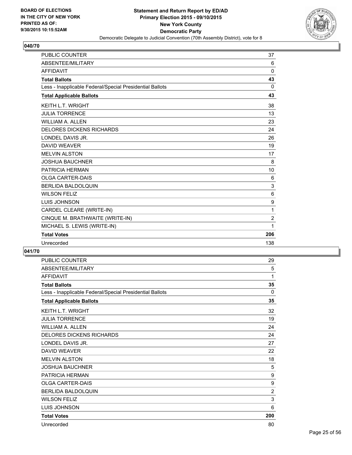![](_page_24_Picture_2.jpeg)

| <b>PUBLIC COUNTER</b>                                    | 37             |
|----------------------------------------------------------|----------------|
| <b>ABSENTEE/MILITARY</b>                                 | 6              |
| <b>AFFIDAVIT</b>                                         | $\Omega$       |
| <b>Total Ballots</b>                                     | 43             |
| Less - Inapplicable Federal/Special Presidential Ballots | 0              |
| <b>Total Applicable Ballots</b>                          | 43             |
| KEITH L.T. WRIGHT                                        | 38             |
| <b>JULIA TORRENCE</b>                                    | 13             |
| <b>WILLIAM A. ALLEN</b>                                  | 23             |
| <b>DELORES DICKENS RICHARDS</b>                          | 24             |
| LONDEL DAVIS JR.                                         | 26             |
| <b>DAVID WEAVER</b>                                      | 19             |
| <b>MELVIN ALSTON</b>                                     | 17             |
| <b>JOSHUA BAUCHNER</b>                                   | 8              |
| PATRICIA HERMAN                                          | 10             |
| <b>OLGA CARTER-DAIS</b>                                  | 6              |
| <b>BERLIDA BALDOLQUIN</b>                                | 3              |
| <b>WILSON FELIZ</b>                                      | 6              |
| <b>LUIS JOHNSON</b>                                      | 9              |
| CARDEL CLEARE (WRITE-IN)                                 | 1              |
| CINQUE M. BRATHWAITE (WRITE-IN)                          | $\overline{2}$ |
| MICHAEL S. LEWIS (WRITE-IN)                              | 1              |
| <b>Total Votes</b>                                       | 206            |
| Unrecorded                                               | 138            |

| <b>PUBLIC COUNTER</b>                                    | 29             |
|----------------------------------------------------------|----------------|
| ABSENTEE/MILITARY                                        | 5              |
| <b>AFFIDAVIT</b>                                         | 1              |
| <b>Total Ballots</b>                                     | 35             |
| Less - Inapplicable Federal/Special Presidential Ballots | 0              |
| <b>Total Applicable Ballots</b>                          | 35             |
| <b>KEITH L.T. WRIGHT</b>                                 | 32             |
| <b>JULIA TORRENCE</b>                                    | 19             |
| <b>WILLIAM A. ALLEN</b>                                  | 24             |
| <b>DELORES DICKENS RICHARDS</b>                          | 24             |
| LONDEL DAVIS JR.                                         | 27             |
| <b>DAVID WEAVER</b>                                      | 22             |
| <b>MELVIN ALSTON</b>                                     | 18             |
| <b>JOSHUA BAUCHNER</b>                                   | 5              |
| PATRICIA HERMAN                                          | 9              |
| <b>OLGA CARTER-DAIS</b>                                  | 9              |
| BERLIDA BALDOLQUIN                                       | $\overline{2}$ |
| <b>WILSON FELIZ</b>                                      | 3              |
| <b>LUIS JOHNSON</b>                                      | 6              |
| <b>Total Votes</b>                                       | 200            |
| Unrecorded                                               | 80             |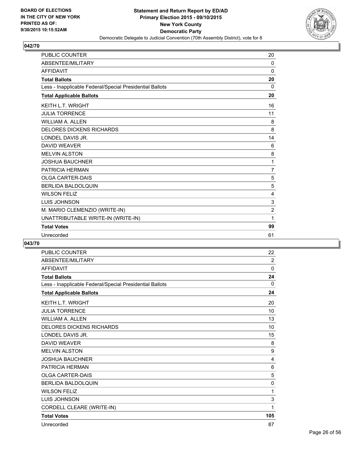![](_page_25_Picture_2.jpeg)

| <b>PUBLIC COUNTER</b>                                    | 20             |
|----------------------------------------------------------|----------------|
| ABSENTEE/MILITARY                                        | $\Omega$       |
| <b>AFFIDAVIT</b>                                         | $\mathbf{0}$   |
| <b>Total Ballots</b>                                     | 20             |
| Less - Inapplicable Federal/Special Presidential Ballots | $\Omega$       |
| <b>Total Applicable Ballots</b>                          | 20             |
| <b>KEITH L.T. WRIGHT</b>                                 | 16             |
| <b>JULIA TORRENCE</b>                                    | 11             |
| <b>WILLIAM A. ALLEN</b>                                  | 8              |
| <b>DELORES DICKENS RICHARDS</b>                          | 8              |
| LONDEL DAVIS JR.                                         | 14             |
| <b>DAVID WEAVER</b>                                      | 6              |
| <b>MELVIN ALSTON</b>                                     | 8              |
| <b>JOSHUA BAUCHNER</b>                                   | 1              |
| PATRICIA HERMAN                                          | $\overline{7}$ |
| <b>OLGA CARTER-DAIS</b>                                  | 5              |
| <b>BERLIDA BALDOLQUIN</b>                                | 5              |
| <b>WILSON FELIZ</b>                                      | 4              |
| <b>LUIS JOHNSON</b>                                      | 3              |
| M. MARIO CLEMENZIO (WRITE-IN)                            | $\overline{2}$ |
| UNATTRIBUTABLE WRITE-IN (WRITE-IN)                       | 1              |
| <b>Total Votes</b>                                       | 99             |
| Unrecorded                                               | 61             |

| <b>PUBLIC COUNTER</b>                                    | 22           |
|----------------------------------------------------------|--------------|
| ABSENTEE/MILITARY                                        | 2            |
| <b>AFFIDAVIT</b>                                         | $\mathbf{0}$ |
| <b>Total Ballots</b>                                     | 24           |
| Less - Inapplicable Federal/Special Presidential Ballots | $\Omega$     |
| <b>Total Applicable Ballots</b>                          | 24           |
| <b>KEITH L.T. WRIGHT</b>                                 | 20           |
| <b>JULIA TORRENCE</b>                                    | 10           |
| <b>WILLIAM A. ALLEN</b>                                  | 13           |
| <b>DELORES DICKENS RICHARDS</b>                          | 10           |
| LONDEL DAVIS JR.                                         | 15           |
| <b>DAVID WEAVER</b>                                      | 8            |
| <b>MELVIN ALSTON</b>                                     | 9            |
| <b>JOSHUA BAUCHNER</b>                                   | 4            |
| <b>PATRICIA HERMAN</b>                                   | 6            |
| <b>OLGA CARTER-DAIS</b>                                  | 5            |
| <b>BERLIDA BALDOLQUIN</b>                                | 0            |
| <b>WILSON FELIZ</b>                                      | 1            |
| LUIS JOHNSON                                             | 3            |
| CORDELL CLEARE (WRITE-IN)                                | 1            |
| <b>Total Votes</b>                                       | 105          |
| Unrecorded                                               | 87           |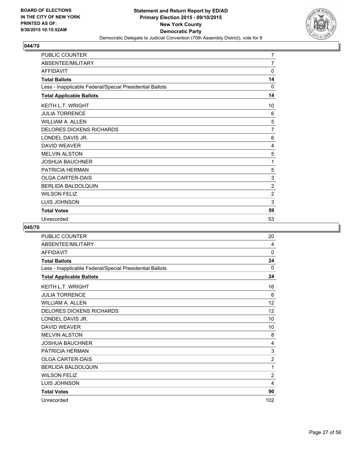![](_page_26_Picture_2.jpeg)

| PUBLIC COUNTER                                           | $\overline{7}$ |
|----------------------------------------------------------|----------------|
| ABSENTEE/MILITARY                                        | 7              |
| <b>AFFIDAVIT</b>                                         | 0              |
| <b>Total Ballots</b>                                     | 14             |
| Less - Inapplicable Federal/Special Presidential Ballots | 0              |
| <b>Total Applicable Ballots</b>                          | 14             |
| KEITH L.T. WRIGHT                                        | 10             |
| <b>JULIA TORRENCE</b>                                    | 6              |
| <b>WILLIAM A. ALLEN</b>                                  | 5              |
| <b>DELORES DICKENS RICHARDS</b>                          | 7              |
| LONDEL DAVIS JR.                                         | 6              |
| <b>DAVID WEAVER</b>                                      | 4              |
| <b>MELVIN ALSTON</b>                                     | 5              |
| <b>JOSHUA BAUCHNER</b>                                   | 1              |
| PATRICIA HERMAN                                          | 5              |
| <b>OLGA CARTER-DAIS</b>                                  | 3              |
| BERLIDA BALDOLQUIN                                       | $\overline{2}$ |
| <b>WILSON FELIZ</b>                                      | 2              |
| <b>LUIS JOHNSON</b>                                      | 3              |
| <b>Total Votes</b>                                       | 59             |
| Unrecorded                                               | 53             |

| PUBLIC COUNTER                                           | 20             |
|----------------------------------------------------------|----------------|
| ABSENTEE/MILITARY                                        | 4              |
| <b>AFFIDAVIT</b>                                         | 0              |
| <b>Total Ballots</b>                                     | 24             |
| Less - Inapplicable Federal/Special Presidential Ballots | 0              |
| <b>Total Applicable Ballots</b>                          | 24             |
| <b>KEITH L.T. WRIGHT</b>                                 | 16             |
| <b>JULIA TORRENCE</b>                                    | 6              |
| <b>WILLIAM A. ALLEN</b>                                  | 12             |
| <b>DELORES DICKENS RICHARDS</b>                          | 12             |
| LONDEL DAVIS JR.                                         | 10             |
| <b>DAVID WEAVER</b>                                      | 10             |
| <b>MELVIN ALSTON</b>                                     | 8              |
| <b>JOSHUA BAUCHNER</b>                                   | 4              |
| PATRICIA HERMAN                                          | 3              |
| <b>OLGA CARTER-DAIS</b>                                  | $\overline{2}$ |
| <b>BERLIDA BALDOLQUIN</b>                                | 1              |
| <b>WILSON FELIZ</b>                                      | $\overline{2}$ |
| LUIS JOHNSON                                             | 4              |
| <b>Total Votes</b>                                       | 90             |
| Unrecorded                                               | 102            |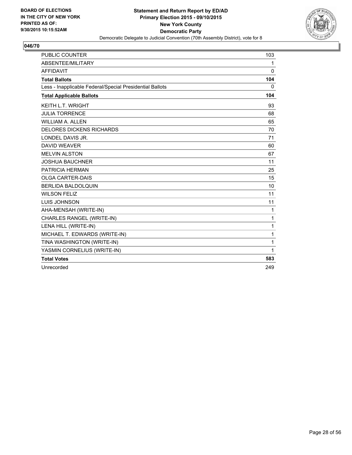![](_page_27_Picture_2.jpeg)

| <b>PUBLIC COUNTER</b>                                    | 103          |
|----------------------------------------------------------|--------------|
| ABSENTEE/MILITARY                                        | $\mathbf{1}$ |
| <b>AFFIDAVIT</b>                                         | $\mathbf{0}$ |
| <b>Total Ballots</b>                                     | 104          |
| Less - Inapplicable Federal/Special Presidential Ballots | 0            |
| <b>Total Applicable Ballots</b>                          | 104          |
| <b>KEITH L.T. WRIGHT</b>                                 | 93           |
| <b>JULIA TORRENCE</b>                                    | 68           |
| <b>WILLIAM A. ALLEN</b>                                  | 65           |
| <b>DELORES DICKENS RICHARDS</b>                          | 70           |
| LONDEL DAVIS JR.                                         | 71           |
| <b>DAVID WEAVER</b>                                      | 60           |
| <b>MELVIN ALSTON</b>                                     | 67           |
| <b>JOSHUA BAUCHNER</b>                                   | 11           |
| PATRICIA HERMAN                                          | 25           |
| <b>OLGA CARTER-DAIS</b>                                  | 15           |
| <b>BERLIDA BALDOLOUIN</b>                                | 10           |
| <b>WILSON FELIZ</b>                                      | 11           |
| <b>LUIS JOHNSON</b>                                      | 11           |
| AHA-MENSAH (WRITE-IN)                                    | 1            |
| CHARLES RANGEL (WRITE-IN)                                | 1            |
| LENA HILL (WRITE-IN)                                     | 1            |
| MICHAEL T. EDWARDS (WRITE-IN)                            | 1            |
| TINA WASHINGTON (WRITE-IN)                               | 1            |
| YASMIN CORNELIUS (WRITE-IN)                              | 1            |
| <b>Total Votes</b>                                       | 583          |
| Unrecorded                                               | 249          |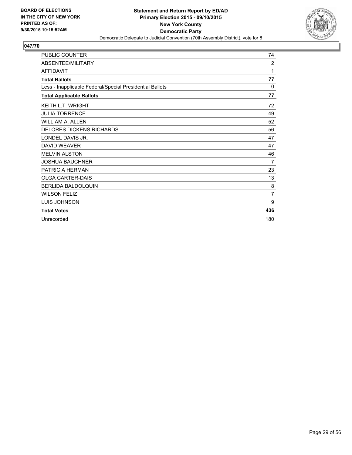![](_page_28_Picture_2.jpeg)

| PUBLIC COUNTER                                           | 74             |
|----------------------------------------------------------|----------------|
| ABSENTEE/MILITARY                                        | $\overline{2}$ |
| <b>AFFIDAVIT</b>                                         | 1              |
| <b>Total Ballots</b>                                     | 77             |
| Less - Inapplicable Federal/Special Presidential Ballots | 0              |
| <b>Total Applicable Ballots</b>                          | 77             |
| <b>KEITH L.T. WRIGHT</b>                                 | 72             |
| <b>JULIA TORRENCE</b>                                    | 49             |
| <b>WILLIAM A. ALLEN</b>                                  | 52             |
| <b>DELORES DICKENS RICHARDS</b>                          | 56             |
| LONDEL DAVIS JR.                                         | 47             |
| <b>DAVID WEAVER</b>                                      | 47             |
| <b>MELVIN ALSTON</b>                                     | 46             |
| <b>JOSHUA BAUCHNER</b>                                   | 7              |
| PATRICIA HERMAN                                          | 23             |
| <b>OLGA CARTER-DAIS</b>                                  | 13             |
| <b>BERLIDA BALDOLQUIN</b>                                | 8              |
| <b>WILSON FELIZ</b>                                      | $\overline{7}$ |
| LUIS JOHNSON                                             | 9              |
| <b>Total Votes</b>                                       | 436            |
| Unrecorded                                               | 180            |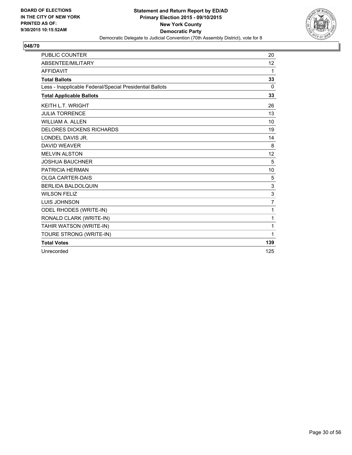![](_page_29_Picture_2.jpeg)

| PUBLIC COUNTER                                           | 20                |
|----------------------------------------------------------|-------------------|
| ABSENTEE/MILITARY                                        | $12 \overline{ }$ |
| <b>AFFIDAVIT</b>                                         | 1                 |
| <b>Total Ballots</b>                                     | 33                |
| Less - Inapplicable Federal/Special Presidential Ballots | $\Omega$          |
| <b>Total Applicable Ballots</b>                          | 33                |
| <b>KEITH L.T. WRIGHT</b>                                 | 26                |
| <b>JULIA TORRENCE</b>                                    | 13                |
| <b>WILLIAM A. ALLEN</b>                                  | 10                |
| <b>DELORES DICKENS RICHARDS</b>                          | 19                |
| LONDEL DAVIS JR.                                         | 14                |
| <b>DAVID WEAVER</b>                                      | 8                 |
| <b>MELVIN ALSTON</b>                                     | 12                |
| <b>JOSHUA BAUCHNER</b>                                   | 5                 |
| <b>PATRICIA HERMAN</b>                                   | 10                |
| <b>OLGA CARTER-DAIS</b>                                  | 5                 |
| <b>BERLIDA BALDOLQUIN</b>                                | 3                 |
| <b>WILSON FELIZ</b>                                      | 3                 |
| LUIS JOHNSON                                             | $\overline{7}$    |
| ODEL RHODES (WRITE-IN)                                   | 1                 |
| RONALD CLARK (WRITE-IN)                                  | 1                 |
| TAHIR WATSON (WRITE-IN)                                  | 1                 |
| TOURE STRONG (WRITE-IN)                                  | 1                 |
| <b>Total Votes</b>                                       | 139               |
| Unrecorded                                               | 125               |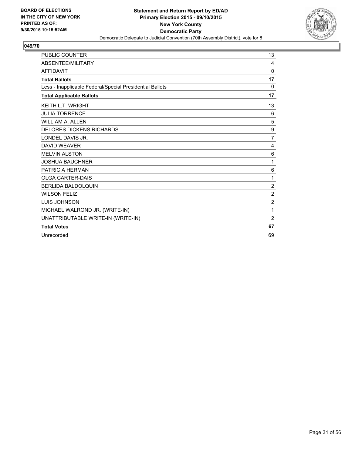![](_page_30_Picture_2.jpeg)

| <b>PUBLIC COUNTER</b>                                    | 13               |
|----------------------------------------------------------|------------------|
| ABSENTEE/MILITARY                                        | 4                |
| <b>AFFIDAVIT</b>                                         | 0                |
| <b>Total Ballots</b>                                     | 17               |
| Less - Inapplicable Federal/Special Presidential Ballots | 0                |
| <b>Total Applicable Ballots</b>                          | 17               |
| <b>KEITH L.T. WRIGHT</b>                                 | 13               |
| <b>JULIA TORRENCE</b>                                    | 6                |
| <b>WILLIAM A. ALLEN</b>                                  | 5                |
| <b>DELORES DICKENS RICHARDS</b>                          | 9                |
| LONDEL DAVIS JR.                                         | 7                |
| <b>DAVID WEAVER</b>                                      | 4                |
| <b>MELVIN ALSTON</b>                                     | 6                |
| <b>JOSHUA BAUCHNER</b>                                   | 1                |
| <b>PATRICIA HERMAN</b>                                   | 6                |
| <b>OLGA CARTER-DAIS</b>                                  | 1                |
| <b>BERLIDA BALDOLQUIN</b>                                | $\boldsymbol{2}$ |
| <b>WILSON FELIZ</b>                                      | $\overline{2}$   |
| <b>LUIS JOHNSON</b>                                      | $\overline{2}$   |
| MICHAEL WALROND JR. (WRITE-IN)                           | 1                |
| UNATTRIBUTABLE WRITE-IN (WRITE-IN)                       | $\overline{2}$   |
| <b>Total Votes</b>                                       | 67               |
| Unrecorded                                               | 69               |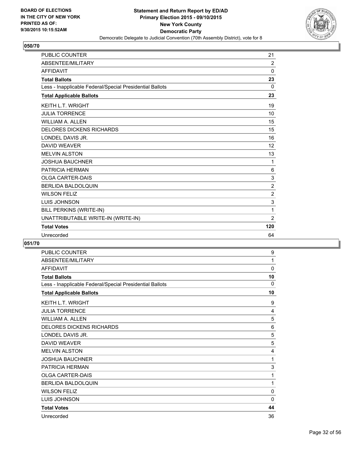![](_page_31_Picture_2.jpeg)

| <b>PUBLIC COUNTER</b>                                    | 21             |
|----------------------------------------------------------|----------------|
| ABSENTEE/MILITARY                                        | 2              |
| <b>AFFIDAVIT</b>                                         | $\mathbf 0$    |
| <b>Total Ballots</b>                                     | 23             |
| Less - Inapplicable Federal/Special Presidential Ballots | $\Omega$       |
| <b>Total Applicable Ballots</b>                          | 23             |
| <b>KEITH L.T. WRIGHT</b>                                 | 19             |
| <b>JULIA TORRENCE</b>                                    | 10             |
| <b>WILLIAM A. ALLEN</b>                                  | 15             |
| <b>DELORES DICKENS RICHARDS</b>                          | 15             |
| LONDEL DAVIS JR.                                         | 16             |
| <b>DAVID WEAVER</b>                                      | 12             |
| <b>MELVIN ALSTON</b>                                     | 13             |
| <b>JOSHUA BAUCHNER</b>                                   | 1              |
| <b>PATRICIA HERMAN</b>                                   | 6              |
| <b>OLGA CARTER-DAIS</b>                                  | 3              |
| <b>BERLIDA BALDOLQUIN</b>                                | $\overline{2}$ |
| <b>WILSON FELIZ</b>                                      | $\overline{2}$ |
| LUIS JOHNSON                                             | 3              |
| BILL PERKINS (WRITE-IN)                                  | 1              |
| UNATTRIBUTABLE WRITE-IN (WRITE-IN)                       | $\overline{2}$ |
| <b>Total Votes</b>                                       | 120            |
| Unrecorded                                               | 64             |

| <b>PUBLIC COUNTER</b>                                    | 9           |
|----------------------------------------------------------|-------------|
| ABSENTEE/MILITARY                                        | 1           |
| <b>AFFIDAVIT</b>                                         | 0           |
| <b>Total Ballots</b>                                     | 10          |
| Less - Inapplicable Federal/Special Presidential Ballots | 0           |
| <b>Total Applicable Ballots</b>                          | 10          |
| <b>KEITH L.T. WRIGHT</b>                                 | 9           |
| <b>JULIA TORRENCE</b>                                    | 4           |
| <b>WILLIAM A. ALLEN</b>                                  | 5           |
| <b>DELORES DICKENS RICHARDS</b>                          | 6           |
| LONDEL DAVIS JR.                                         | 5           |
| <b>DAVID WEAVER</b>                                      | 5           |
| <b>MELVIN ALSTON</b>                                     | 4           |
| <b>JOSHUA BAUCHNER</b>                                   | 1           |
| PATRICIA HERMAN                                          | 3           |
| <b>OLGA CARTER-DAIS</b>                                  | 1           |
| <b>BERLIDA BALDOLQUIN</b>                                | 1           |
| <b>WILSON FELIZ</b>                                      | 0           |
| <b>LUIS JOHNSON</b>                                      | $\mathbf 0$ |
| <b>Total Votes</b>                                       | 44          |
| Unrecorded                                               | 36          |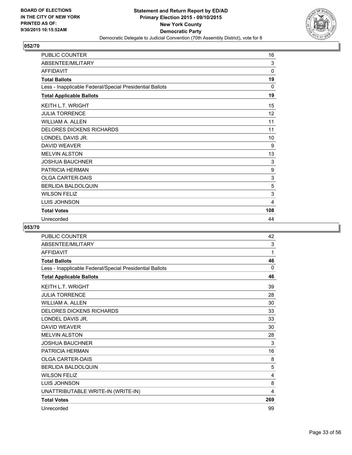![](_page_32_Picture_2.jpeg)

| PUBLIC COUNTER                                           | 16  |
|----------------------------------------------------------|-----|
| ABSENTEE/MILITARY                                        | 3   |
| <b>AFFIDAVIT</b>                                         | 0   |
| <b>Total Ballots</b>                                     | 19  |
| Less - Inapplicable Federal/Special Presidential Ballots | 0   |
| <b>Total Applicable Ballots</b>                          | 19  |
| <b>KEITH L.T. WRIGHT</b>                                 | 15  |
| <b>JULIA TORRENCE</b>                                    | 12  |
| <b>WILLIAM A. ALLEN</b>                                  | 11  |
| <b>DELORES DICKENS RICHARDS</b>                          | 11  |
| LONDEL DAVIS JR.                                         | 10  |
| <b>DAVID WEAVER</b>                                      | 9   |
| <b>MELVIN ALSTON</b>                                     | 13  |
| <b>JOSHUA BAUCHNER</b>                                   | 3   |
| PATRICIA HERMAN                                          | 9   |
| <b>OLGA CARTER-DAIS</b>                                  | 3   |
| <b>BERLIDA BALDOLQUIN</b>                                | 5   |
| <b>WILSON FELIZ</b>                                      | 3   |
| <b>LUIS JOHNSON</b>                                      | 4   |
| <b>Total Votes</b>                                       | 108 |
| Unrecorded                                               | 44  |

| <b>PUBLIC COUNTER</b>                                    | 42       |
|----------------------------------------------------------|----------|
| ABSENTEE/MILITARY                                        | 3        |
| <b>AFFIDAVIT</b>                                         | 1        |
| <b>Total Ballots</b>                                     | 46       |
| Less - Inapplicable Federal/Special Presidential Ballots | $\Omega$ |
| <b>Total Applicable Ballots</b>                          | 46       |
| <b>KEITH L.T. WRIGHT</b>                                 | 39       |
| <b>JULIA TORRENCE</b>                                    | 28       |
| <b>WILLIAM A. ALLEN</b>                                  | 30       |
| <b>DELORES DICKENS RICHARDS</b>                          | 33       |
| LONDEL DAVIS JR.                                         | 33       |
| DAVID WEAVER                                             | 30       |
| <b>MELVIN ALSTON</b>                                     | 28       |
| <b>JOSHUA BAUCHNER</b>                                   | 3        |
| PATRICIA HERMAN                                          | 16       |
| <b>OLGA CARTER-DAIS</b>                                  | 8        |
| <b>BERLIDA BALDOLQUIN</b>                                | 5        |
| <b>WILSON FELIZ</b>                                      | 4        |
| <b>LUIS JOHNSON</b>                                      | 8        |
| UNATTRIBUTABLE WRITE-IN (WRITE-IN)                       | 4        |
| <b>Total Votes</b>                                       | 269      |
| Unrecorded                                               | 99       |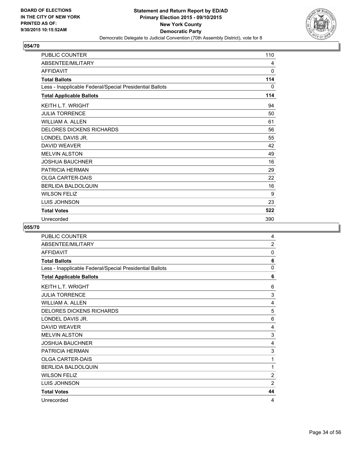![](_page_33_Picture_2.jpeg)

| <b>PUBLIC COUNTER</b>                                    | 110 |
|----------------------------------------------------------|-----|
| ABSENTEE/MILITARY                                        | 4   |
| <b>AFFIDAVIT</b>                                         | 0   |
| <b>Total Ballots</b>                                     | 114 |
| Less - Inapplicable Federal/Special Presidential Ballots | 0   |
| <b>Total Applicable Ballots</b>                          | 114 |
| <b>KEITH L.T. WRIGHT</b>                                 | 94  |
| <b>JULIA TORRENCE</b>                                    | 50  |
| <b>WILLIAM A. ALLEN</b>                                  | 61  |
| <b>DELORES DICKENS RICHARDS</b>                          | 56  |
| LONDEL DAVIS JR.                                         | 55  |
| <b>DAVID WEAVER</b>                                      | 42  |
| <b>MELVIN ALSTON</b>                                     | 49  |
| <b>JOSHUA BAUCHNER</b>                                   | 16  |
| PATRICIA HERMAN                                          | 29  |
| <b>OLGA CARTER-DAIS</b>                                  | 22  |
| <b>BERLIDA BALDOLQUIN</b>                                | 16  |
| <b>WILSON FELIZ</b>                                      | 9   |
| <b>LUIS JOHNSON</b>                                      | 23  |
| <b>Total Votes</b>                                       | 522 |
| Unrecorded                                               | 390 |

| PUBLIC COUNTER                                           | 4              |
|----------------------------------------------------------|----------------|
| ABSENTEE/MILITARY                                        | $\overline{2}$ |
| <b>AFFIDAVIT</b>                                         | 0              |
| <b>Total Ballots</b>                                     | 6              |
| Less - Inapplicable Federal/Special Presidential Ballots | 0              |
| <b>Total Applicable Ballots</b>                          | 6              |
| <b>KEITH L.T. WRIGHT</b>                                 | 6              |
| <b>JULIA TORRENCE</b>                                    | 3              |
| <b>WILLIAM A. ALLEN</b>                                  | 4              |
| <b>DELORES DICKENS RICHARDS</b>                          | 5              |
| LONDEL DAVIS JR.                                         | 6              |
| <b>DAVID WEAVER</b>                                      | 4              |
| <b>MELVIN ALSTON</b>                                     | 3              |
| <b>JOSHUA BAUCHNER</b>                                   | 4              |
| PATRICIA HERMAN                                          | 3              |
| <b>OLGA CARTER-DAIS</b>                                  | 1              |
| BERLIDA BALDOLQUIN                                       | 1              |
| <b>WILSON FELIZ</b>                                      | $\overline{2}$ |
| LUIS JOHNSON                                             | $\overline{2}$ |
| <b>Total Votes</b>                                       | 44             |
| Unrecorded                                               | 4              |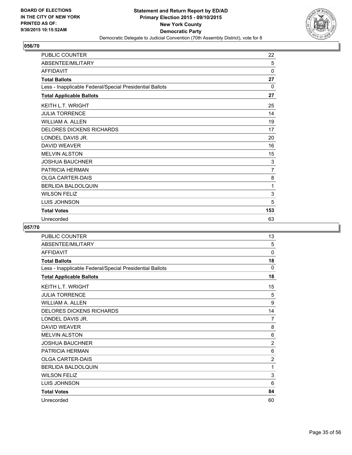![](_page_34_Picture_2.jpeg)

| PUBLIC COUNTER                                           | 22             |
|----------------------------------------------------------|----------------|
| ABSENTEE/MILITARY                                        | 5              |
| <b>AFFIDAVIT</b>                                         | 0              |
| <b>Total Ballots</b>                                     | 27             |
| Less - Inapplicable Federal/Special Presidential Ballots | 0              |
| <b>Total Applicable Ballots</b>                          | 27             |
| <b>KEITH L.T. WRIGHT</b>                                 | 25             |
| <b>JULIA TORRENCE</b>                                    | 14             |
| <b>WILLIAM A. ALLEN</b>                                  | 19             |
| <b>DELORES DICKENS RICHARDS</b>                          | 17             |
| LONDEL DAVIS JR.                                         | 20             |
| <b>DAVID WEAVER</b>                                      | 16             |
| <b>MELVIN ALSTON</b>                                     | 15             |
| <b>JOSHUA BAUCHNER</b>                                   | 3              |
| PATRICIA HERMAN                                          | $\overline{7}$ |
| <b>OLGA CARTER-DAIS</b>                                  | 8              |
| <b>BERLIDA BALDOLQUIN</b>                                | 1              |
| <b>WILSON FELIZ</b>                                      | 3              |
| <b>LUIS JOHNSON</b>                                      | 5              |
| <b>Total Votes</b>                                       | 153            |
| Unrecorded                                               | 63             |

| PUBLIC COUNTER                                           | 13             |
|----------------------------------------------------------|----------------|
| <b>ABSENTEE/MILITARY</b>                                 | 5              |
| <b>AFFIDAVIT</b>                                         | 0              |
| <b>Total Ballots</b>                                     | 18             |
| Less - Inapplicable Federal/Special Presidential Ballots | 0              |
| <b>Total Applicable Ballots</b>                          | 18             |
| <b>KEITH L.T. WRIGHT</b>                                 | 15             |
| <b>JULIA TORRENCE</b>                                    | 5              |
| <b>WILLIAM A. ALLEN</b>                                  | 9              |
| <b>DELORES DICKENS RICHARDS</b>                          | 14             |
| LONDEL DAVIS JR.                                         | 7              |
| <b>DAVID WEAVER</b>                                      | 8              |
| <b>MELVIN ALSTON</b>                                     | 6              |
| <b>JOSHUA BAUCHNER</b>                                   | $\overline{2}$ |
| PATRICIA HERMAN                                          | 6              |
| <b>OLGA CARTER-DAIS</b>                                  | $\overline{2}$ |
| <b>BERLIDA BALDOLQUIN</b>                                | 1              |
| <b>WILSON FELIZ</b>                                      | 3              |
| LUIS JOHNSON                                             | 6              |
| <b>Total Votes</b>                                       | 84             |
| Unrecorded                                               | 60             |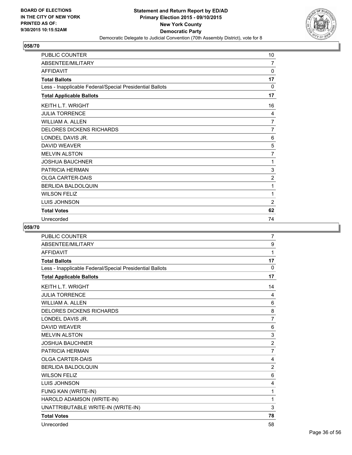![](_page_35_Picture_2.jpeg)

| PUBLIC COUNTER                                           | 10             |
|----------------------------------------------------------|----------------|
| ABSENTEE/MILITARY                                        | $\overline{7}$ |
| <b>AFFIDAVIT</b>                                         | 0              |
| <b>Total Ballots</b>                                     | 17             |
| Less - Inapplicable Federal/Special Presidential Ballots | 0              |
| <b>Total Applicable Ballots</b>                          | 17             |
| <b>KEITH L.T. WRIGHT</b>                                 | 16             |
| <b>JULIA TORRENCE</b>                                    | 4              |
| <b>WILLIAM A. ALLEN</b>                                  | 7              |
| <b>DELORES DICKENS RICHARDS</b>                          | 7              |
| LONDEL DAVIS JR.                                         | 6              |
| <b>DAVID WEAVER</b>                                      | 5              |
| <b>MELVIN ALSTON</b>                                     | $\overline{7}$ |
| <b>JOSHUA BAUCHNER</b>                                   | 1              |
| <b>PATRICIA HERMAN</b>                                   | 3              |
| <b>OLGA CARTER-DAIS</b>                                  | $\overline{2}$ |
| <b>BERLIDA BALDOLQUIN</b>                                | 1              |
| <b>WILSON FELIZ</b>                                      | 1              |
| <b>LUIS JOHNSON</b>                                      | 2              |
| <b>Total Votes</b>                                       | 62             |
| Unrecorded                                               | 74             |

| <b>PUBLIC COUNTER</b>                                    | 7              |
|----------------------------------------------------------|----------------|
| ABSENTEE/MILITARY                                        | 9              |
| <b>AFFIDAVIT</b>                                         | 1              |
| <b>Total Ballots</b>                                     | 17             |
| Less - Inapplicable Federal/Special Presidential Ballots | 0              |
| <b>Total Applicable Ballots</b>                          | 17             |
| <b>KEITH L.T. WRIGHT</b>                                 | 14             |
| <b>JULIA TORRENCE</b>                                    | 4              |
| <b>WILLIAM A. ALLEN</b>                                  | 6              |
| <b>DELORES DICKENS RICHARDS</b>                          | 8              |
| LONDEL DAVIS JR.                                         | 7              |
| <b>DAVID WEAVER</b>                                      | 6              |
| <b>MELVIN ALSTON</b>                                     | 3              |
| <b>JOSHUA BAUCHNER</b>                                   | $\overline{2}$ |
| PATRICIA HERMAN                                          | $\overline{7}$ |
| <b>OLGA CARTER-DAIS</b>                                  | 4              |
| <b>BERLIDA BALDOLQUIN</b>                                | $\overline{2}$ |
| <b>WILSON FELIZ</b>                                      | 6              |
| LUIS JOHNSON                                             | 4              |
| FUNG KAN (WRITE-IN)                                      | 1              |
| HAROLD ADAMSON (WRITE-IN)                                | 1              |
| UNATTRIBUTABLE WRITE-IN (WRITE-IN)                       | 3              |
| <b>Total Votes</b>                                       | 78             |
| Unrecorded                                               | 58             |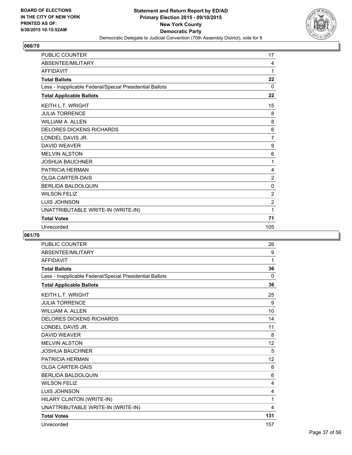![](_page_36_Picture_2.jpeg)

| <b>PUBLIC COUNTER</b>                                    | 17             |
|----------------------------------------------------------|----------------|
| ABSENTEE/MILITARY                                        | 4              |
| <b>AFFIDAVIT</b>                                         | 1              |
| <b>Total Ballots</b>                                     | 22             |
| Less - Inapplicable Federal/Special Presidential Ballots | 0              |
| <b>Total Applicable Ballots</b>                          | 22             |
| <b>KEITH L.T. WRIGHT</b>                                 | 15             |
| <b>JULIA TORRENCE</b>                                    | 8              |
| <b>WILLIAM A. ALLEN</b>                                  | 8              |
| <b>DELORES DICKENS RICHARDS</b>                          | 6              |
| LONDEL DAVIS JR.                                         | $\overline{7}$ |
| <b>DAVID WEAVER</b>                                      | 9              |
| <b>MELVIN ALSTON</b>                                     | 6              |
| <b>JOSHUA BAUCHNER</b>                                   | 1              |
| PATRICIA HERMAN                                          | 4              |
| <b>OLGA CARTER-DAIS</b>                                  | $\overline{2}$ |
| <b>BERLIDA BALDOLQUIN</b>                                | $\mathbf 0$    |
| <b>WILSON FELIZ</b>                                      | $\overline{2}$ |
| LUIS JOHNSON                                             | $\overline{2}$ |
| UNATTRIBUTABLE WRITE-IN (WRITE-IN)                       | 1              |
| <b>Total Votes</b>                                       | 71             |
| Unrecorded                                               | 105            |

| <b>PUBLIC COUNTER</b>                                    | 26       |
|----------------------------------------------------------|----------|
| ABSENTEE/MILITARY                                        | 9        |
| <b>AFFIDAVIT</b>                                         | 1        |
| <b>Total Ballots</b>                                     | 36       |
| Less - Inapplicable Federal/Special Presidential Ballots | $\Omega$ |
| <b>Total Applicable Ballots</b>                          | 36       |
| <b>KEITH L.T. WRIGHT</b>                                 | 25       |
| <b>JULIA TORRENCE</b>                                    | 9        |
| <b>WILLIAM A. ALLEN</b>                                  | 10       |
| <b>DELORES DICKENS RICHARDS</b>                          | 14       |
| LONDEL DAVIS JR.                                         | 11       |
| <b>DAVID WEAVER</b>                                      | 8        |
| <b>MELVIN ALSTON</b>                                     | 12       |
| <b>JOSHUA BAUCHNER</b>                                   | 5        |
| <b>PATRICIA HERMAN</b>                                   | 12       |
| <b>OLGA CARTER-DAIS</b>                                  | 6        |
| <b>BERLIDA BALDOLQUIN</b>                                | 6        |
| <b>WILSON FELIZ</b>                                      | 4        |
| LUIS JOHNSON                                             | 4        |
| HILARY CLINTON (WRITE-IN)                                | 1        |
| UNATTRIBUTABLE WRITE-IN (WRITE-IN)                       | 4        |
| <b>Total Votes</b>                                       | 131      |
| Unrecorded                                               | 157      |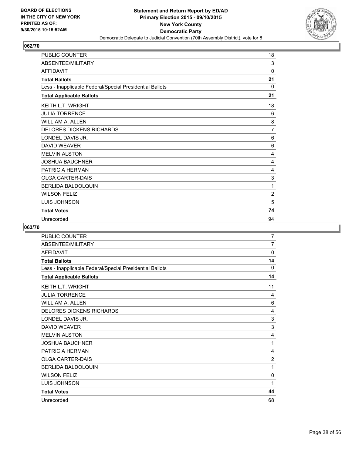![](_page_37_Picture_2.jpeg)

| <b>PUBLIC COUNTER</b>                                    | 18             |
|----------------------------------------------------------|----------------|
| ABSENTEE/MILITARY                                        | 3              |
| <b>AFFIDAVIT</b>                                         | 0              |
| <b>Total Ballots</b>                                     | 21             |
| Less - Inapplicable Federal/Special Presidential Ballots | 0              |
| <b>Total Applicable Ballots</b>                          | 21             |
| KEITH L.T. WRIGHT                                        | 18             |
| <b>JULIA TORRENCE</b>                                    | 6              |
| <b>WILLIAM A. ALLEN</b>                                  | 8              |
| <b>DELORES DICKENS RICHARDS</b>                          | $\overline{7}$ |
| LONDEL DAVIS JR.                                         | 6              |
| <b>DAVID WEAVER</b>                                      | 6              |
| <b>MELVIN ALSTON</b>                                     | 4              |
| <b>JOSHUA BAUCHNER</b>                                   | 4              |
| PATRICIA HERMAN                                          | 4              |
| <b>OLGA CARTER-DAIS</b>                                  | 3              |
| <b>BERLIDA BALDOLQUIN</b>                                | 1              |
| <b>WILSON FELIZ</b>                                      | 2              |
| LUIS JOHNSON                                             | 5              |
| <b>Total Votes</b>                                       | 74             |
| Unrecorded                                               | 94             |

| PUBLIC COUNTER                                           | 7              |
|----------------------------------------------------------|----------------|
| ABSENTEE/MILITARY                                        | 7              |
| <b>AFFIDAVIT</b>                                         | 0              |
| <b>Total Ballots</b>                                     | 14             |
| Less - Inapplicable Federal/Special Presidential Ballots | 0              |
| <b>Total Applicable Ballots</b>                          | 14             |
| <b>KEITH L.T. WRIGHT</b>                                 | 11             |
| <b>JULIA TORRENCE</b>                                    | 4              |
| <b>WILLIAM A. ALLEN</b>                                  | 6              |
| <b>DELORES DICKENS RICHARDS</b>                          | 4              |
| LONDEL DAVIS JR.                                         | 3              |
| <b>DAVID WEAVER</b>                                      | 3              |
| <b>MELVIN ALSTON</b>                                     | 4              |
| <b>JOSHUA BAUCHNER</b>                                   | 1              |
| <b>PATRICIA HERMAN</b>                                   | 4              |
| <b>OLGA CARTER-DAIS</b>                                  | $\overline{2}$ |
| <b>BERLIDA BALDOLQUIN</b>                                | 1              |
| <b>WILSON FELIZ</b>                                      | 0              |
| LUIS JOHNSON                                             | 1              |
| <b>Total Votes</b>                                       | 44             |
| Unrecorded                                               | 68             |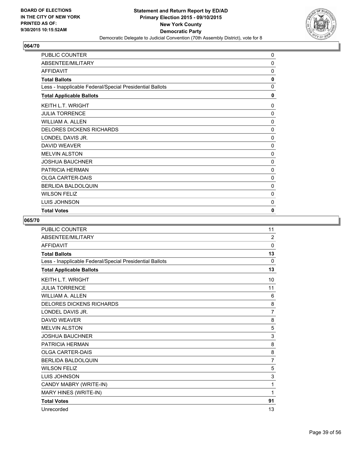![](_page_38_Picture_2.jpeg)

| PUBLIC COUNTER                                           | 0            |
|----------------------------------------------------------|--------------|
| ABSENTEE/MILITARY                                        | 0            |
| <b>AFFIDAVIT</b>                                         | 0            |
| <b>Total Ballots</b>                                     | $\mathbf{0}$ |
| Less - Inapplicable Federal/Special Presidential Ballots | 0            |
| <b>Total Applicable Ballots</b>                          | 0            |
| <b>KEITH L.T. WRIGHT</b>                                 | $\Omega$     |
| <b>JULIA TORRENCE</b>                                    | 0            |
| <b>WILLIAM A. ALLEN</b>                                  | 0            |
| <b>DELORES DICKENS RICHARDS</b>                          | 0            |
| LONDEL DAVIS JR.                                         | 0            |
| <b>DAVID WEAVER</b>                                      | 0            |
| <b>MELVIN ALSTON</b>                                     | 0            |
| <b>JOSHUA BAUCHNER</b>                                   | 0            |
| <b>PATRICIA HERMAN</b>                                   | 0            |
| <b>OLGA CARTER-DAIS</b>                                  | 0            |
| <b>BERLIDA BALDOLQUIN</b>                                | 0            |
| <b>WILSON FELIZ</b>                                      | 0            |
| <b>LUIS JOHNSON</b>                                      | 0            |
| <b>Total Votes</b>                                       | 0            |

| <b>PUBLIC COUNTER</b>                                    | 11             |
|----------------------------------------------------------|----------------|
| ABSENTEE/MILITARY                                        | $\overline{2}$ |
| <b>AFFIDAVIT</b>                                         | $\Omega$       |
| <b>Total Ballots</b>                                     | 13             |
| Less - Inapplicable Federal/Special Presidential Ballots | $\mathbf{0}$   |
| <b>Total Applicable Ballots</b>                          | 13             |
| <b>KEITH L.T. WRIGHT</b>                                 | 10             |
| <b>JULIA TORRENCE</b>                                    | 11             |
| <b>WILLIAM A. ALLEN</b>                                  | 6              |
| <b>DELORES DICKENS RICHARDS</b>                          | 8              |
| LONDEL DAVIS JR.                                         | $\overline{7}$ |
| <b>DAVID WEAVER</b>                                      | 8              |
| <b>MELVIN ALSTON</b>                                     | 5              |
| <b>JOSHUA BAUCHNER</b>                                   | 3              |
| <b>PATRICIA HERMAN</b>                                   | 8              |
| <b>OLGA CARTER-DAIS</b>                                  | 8              |
| <b>BERLIDA BALDOLQUIN</b>                                | $\overline{7}$ |
| <b>WILSON FELIZ</b>                                      | 5              |
| LUIS JOHNSON                                             | 3              |
| CANDY MABRY (WRITE-IN)                                   | 1              |
| MARY HINES (WRITE-IN)                                    | 1              |
| <b>Total Votes</b>                                       | 91             |
| Unrecorded                                               | 13             |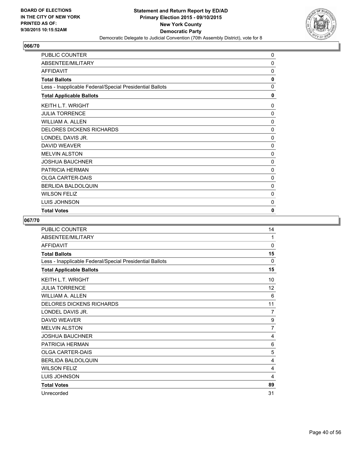![](_page_39_Picture_2.jpeg)

| PUBLIC COUNTER                                           | 0        |
|----------------------------------------------------------|----------|
| ABSENTEE/MILITARY                                        | $\Omega$ |
| <b>AFFIDAVIT</b>                                         | $\Omega$ |
| <b>Total Ballots</b>                                     | 0        |
| Less - Inapplicable Federal/Special Presidential Ballots | 0        |
| <b>Total Applicable Ballots</b>                          | 0        |
| <b>KEITH L.T. WRIGHT</b>                                 | $\Omega$ |
| <b>JULIA TORRENCE</b>                                    | 0        |
| WILLIAM A. ALLEN                                         | 0        |
| <b>DELORES DICKENS RICHARDS</b>                          | 0        |
| LONDEL DAVIS JR.                                         | 0        |
| <b>DAVID WEAVER</b>                                      | 0        |
| <b>MELVIN ALSTON</b>                                     | 0        |
| <b>JOSHUA BAUCHNER</b>                                   | 0        |
| <b>PATRICIA HERMAN</b>                                   | 0        |
| <b>OLGA CARTER-DAIS</b>                                  | 0        |
| <b>BERLIDA BALDOLQUIN</b>                                | 0        |
| <b>WILSON FELIZ</b>                                      | $\Omega$ |
| <b>LUIS JOHNSON</b>                                      | 0        |
| <b>Total Votes</b>                                       | 0        |

| PUBLIC COUNTER                                           | 14           |
|----------------------------------------------------------|--------------|
| ABSENTEE/MILITARY                                        | 1            |
| <b>AFFIDAVIT</b>                                         | $\mathbf{0}$ |
| <b>Total Ballots</b>                                     | 15           |
| Less - Inapplicable Federal/Special Presidential Ballots | 0            |
| <b>Total Applicable Ballots</b>                          | 15           |
| <b>KEITH L.T. WRIGHT</b>                                 | 10           |
| <b>JULIA TORRENCE</b>                                    | 12           |
| <b>WILLIAM A. ALLEN</b>                                  | 6            |
| <b>DELORES DICKENS RICHARDS</b>                          | 11           |
| LONDEL DAVIS JR.                                         | 7            |
| <b>DAVID WEAVER</b>                                      | 9            |
| <b>MELVIN ALSTON</b>                                     | 7            |
| <b>JOSHUA BAUCHNER</b>                                   | 4            |
| PATRICIA HERMAN                                          | 6            |
| <b>OLGA CARTER-DAIS</b>                                  | 5            |
| BERLIDA BALDOLQUIN                                       | 4            |
| <b>WILSON FELIZ</b>                                      | 4            |
| LUIS JOHNSON                                             | 4            |
| <b>Total Votes</b>                                       | 89           |
| Unrecorded                                               | 31           |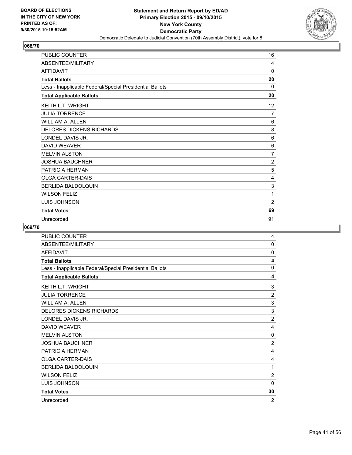![](_page_40_Picture_2.jpeg)

| PUBLIC COUNTER                                           | 16             |
|----------------------------------------------------------|----------------|
| ABSENTEE/MILITARY                                        | 4              |
| <b>AFFIDAVIT</b>                                         | 0              |
| <b>Total Ballots</b>                                     | 20             |
| Less - Inapplicable Federal/Special Presidential Ballots | 0              |
| <b>Total Applicable Ballots</b>                          | 20             |
| <b>KEITH L.T. WRIGHT</b>                                 | 12             |
| <b>JULIA TORRENCE</b>                                    | 7              |
| <b>WILLIAM A. ALLEN</b>                                  | 6              |
| <b>DELORES DICKENS RICHARDS</b>                          | 8              |
| LONDEL DAVIS JR.                                         | 6              |
| <b>DAVID WEAVER</b>                                      | 6              |
| <b>MELVIN ALSTON</b>                                     | $\overline{7}$ |
| <b>JOSHUA BAUCHNER</b>                                   | $\overline{2}$ |
| PATRICIA HERMAN                                          | 5              |
| <b>OLGA CARTER-DAIS</b>                                  | 4              |
| <b>BERLIDA BALDOLQUIN</b>                                | 3              |
| <b>WILSON FELIZ</b>                                      | 1              |
| <b>LUIS JOHNSON</b>                                      | 2              |
| <b>Total Votes</b>                                       | 69             |
| Unrecorded                                               | 91             |

| PUBLIC COUNTER                                           | 4              |
|----------------------------------------------------------|----------------|
| ABSENTEE/MILITARY                                        | 0              |
| <b>AFFIDAVIT</b>                                         | 0              |
| <b>Total Ballots</b>                                     | 4              |
| Less - Inapplicable Federal/Special Presidential Ballots | 0              |
| <b>Total Applicable Ballots</b>                          | 4              |
| KEITH L.T. WRIGHT                                        | 3              |
| <b>JULIA TORRENCE</b>                                    | $\overline{2}$ |
| <b>WILLIAM A. ALLEN</b>                                  | 3              |
| <b>DELORES DICKENS RICHARDS</b>                          | 3              |
| LONDEL DAVIS JR.                                         | $\overline{2}$ |
| <b>DAVID WEAVER</b>                                      | 4              |
| <b>MELVIN ALSTON</b>                                     | 0              |
| <b>JOSHUA BAUCHNER</b>                                   | $\overline{2}$ |
| <b>PATRICIA HERMAN</b>                                   | 4              |
| <b>OLGA CARTER-DAIS</b>                                  | 4              |
| <b>BERLIDA BALDOLQUIN</b>                                | 1              |
| <b>WILSON FELIZ</b>                                      | $\overline{2}$ |
| LUIS JOHNSON                                             | $\mathbf 0$    |
| <b>Total Votes</b>                                       | 30             |
| Unrecorded                                               | $\overline{2}$ |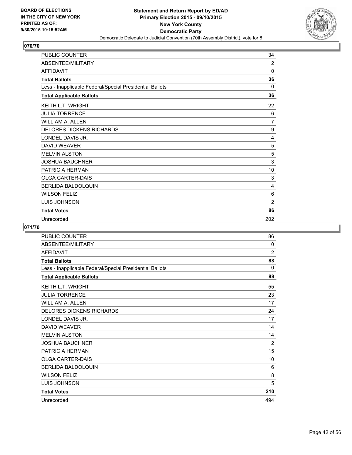![](_page_41_Picture_2.jpeg)

| PUBLIC COUNTER                                           | 34             |
|----------------------------------------------------------|----------------|
| ABSENTEE/MILITARY                                        | 2              |
| <b>AFFIDAVIT</b>                                         | 0              |
| <b>Total Ballots</b>                                     | 36             |
| Less - Inapplicable Federal/Special Presidential Ballots | 0              |
| <b>Total Applicable Ballots</b>                          | 36             |
| KEITH L.T. WRIGHT                                        | 22             |
| <b>JULIA TORRENCE</b>                                    | 6              |
| <b>WILLIAM A. ALLEN</b>                                  | $\overline{7}$ |
| <b>DELORES DICKENS RICHARDS</b>                          | 9              |
| LONDEL DAVIS JR.                                         | 4              |
| <b>DAVID WEAVER</b>                                      | 5              |
| <b>MELVIN ALSTON</b>                                     | 5              |
| <b>JOSHUA BAUCHNER</b>                                   | 3              |
| <b>PATRICIA HERMAN</b>                                   | 10             |
| <b>OLGA CARTER-DAIS</b>                                  | 3              |
| BERLIDA BALDOLQUIN                                       | 4              |
| <b>WILSON FELIZ</b>                                      | 6              |
| <b>LUIS JOHNSON</b>                                      | $\overline{2}$ |
| <b>Total Votes</b>                                       | 86             |
| Unrecorded                                               | 202            |

| PUBLIC COUNTER                                           | 86             |
|----------------------------------------------------------|----------------|
| ABSENTEE/MILITARY                                        | 0              |
| <b>AFFIDAVIT</b>                                         | $\overline{2}$ |
| <b>Total Ballots</b>                                     | 88             |
| Less - Inapplicable Federal/Special Presidential Ballots | $\Omega$       |
| <b>Total Applicable Ballots</b>                          | 88             |
| <b>KEITH L.T. WRIGHT</b>                                 | 55             |
| <b>JULIA TORRENCE</b>                                    | 23             |
| <b>WILLIAM A. ALLEN</b>                                  | 17             |
| <b>DELORES DICKENS RICHARDS</b>                          | 24             |
| LONDEL DAVIS JR.                                         | 17             |
| <b>DAVID WEAVER</b>                                      | 14             |
| <b>MELVIN ALSTON</b>                                     | 14             |
| <b>JOSHUA BAUCHNER</b>                                   | 2              |
| <b>PATRICIA HERMAN</b>                                   | 15             |
| <b>OLGA CARTER-DAIS</b>                                  | 10             |
| BERLIDA BALDOLQUIN                                       | 6              |
| <b>WILSON FELIZ</b>                                      | 8              |
| LUIS JOHNSON                                             | 5              |
| <b>Total Votes</b>                                       | 210            |
| Unrecorded                                               | 494            |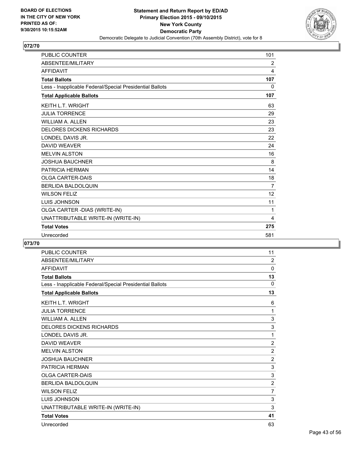![](_page_42_Picture_2.jpeg)

| <b>PUBLIC COUNTER</b>                                    | 101            |
|----------------------------------------------------------|----------------|
| ABSENTEE/MILITARY                                        | $\overline{2}$ |
| <b>AFFIDAVIT</b>                                         | 4              |
| <b>Total Ballots</b>                                     | 107            |
| Less - Inapplicable Federal/Special Presidential Ballots | 0              |
| <b>Total Applicable Ballots</b>                          | 107            |
| <b>KEITH L.T. WRIGHT</b>                                 | 63             |
| <b>JULIA TORRENCE</b>                                    | 29             |
| <b>WILLIAM A. ALLEN</b>                                  | 23             |
| <b>DELORES DICKENS RICHARDS</b>                          | 23             |
| LONDEL DAVIS JR.                                         | 22             |
| <b>DAVID WEAVER</b>                                      | 24             |
| <b>MELVIN ALSTON</b>                                     | 16             |
| <b>JOSHUA BAUCHNER</b>                                   | 8              |
| <b>PATRICIA HERMAN</b>                                   | 14             |
| <b>OLGA CARTER-DAIS</b>                                  | 18             |
| <b>BERLIDA BALDOLOUIN</b>                                | 7              |
| <b>WILSON FELIZ</b>                                      | 12             |
| LUIS JOHNSON                                             | 11             |
| OLGA CARTER - DIAS (WRITE-IN)                            | 1              |
| UNATTRIBUTABLE WRITE-IN (WRITE-IN)                       | 4              |
| <b>Total Votes</b>                                       | 275            |
| Unrecorded                                               | 581            |

| <b>PUBLIC COUNTER</b>                                    | 11             |
|----------------------------------------------------------|----------------|
| ABSENTEE/MILITARY                                        | 2              |
| <b>AFFIDAVIT</b>                                         | 0              |
| <b>Total Ballots</b>                                     | 13             |
| Less - Inapplicable Federal/Special Presidential Ballots | $\Omega$       |
| <b>Total Applicable Ballots</b>                          | 13             |
| <b>KEITH L.T. WRIGHT</b>                                 | 6              |
| <b>JULIA TORRENCE</b>                                    | 1              |
| <b>WILLIAM A. ALLEN</b>                                  | 3              |
| <b>DELORES DICKENS RICHARDS</b>                          | 3              |
| LONDEL DAVIS JR.                                         | 1              |
| <b>DAVID WEAVER</b>                                      | $\overline{2}$ |
| <b>MELVIN ALSTON</b>                                     | $\overline{2}$ |
| <b>JOSHUA BAUCHNER</b>                                   | $\overline{2}$ |
| <b>PATRICIA HERMAN</b>                                   | 3              |
| <b>OLGA CARTER-DAIS</b>                                  | 3              |
| <b>BERLIDA BALDOLQUIN</b>                                | $\overline{2}$ |
| <b>WILSON FELIZ</b>                                      | 7              |
| LUIS JOHNSON                                             | 3              |
| UNATTRIBUTABLE WRITE-IN (WRITE-IN)                       | 3              |
| <b>Total Votes</b>                                       | 41             |
| Unrecorded                                               | 63             |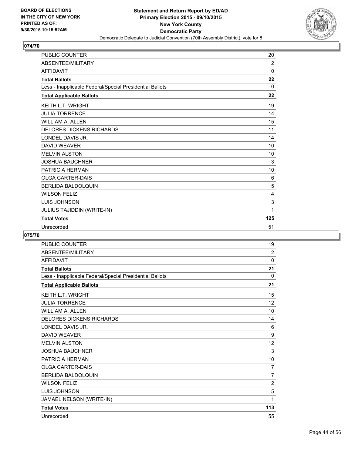![](_page_43_Picture_2.jpeg)

| <b>PUBLIC COUNTER</b>                                    | 20  |
|----------------------------------------------------------|-----|
| ABSENTEE/MILITARY                                        | 2   |
| <b>AFFIDAVIT</b>                                         | 0   |
| <b>Total Ballots</b>                                     | 22  |
| Less - Inapplicable Federal/Special Presidential Ballots | 0   |
| <b>Total Applicable Ballots</b>                          | 22  |
| <b>KEITH L.T. WRIGHT</b>                                 | 19  |
| <b>JULIA TORRENCE</b>                                    | 14  |
| <b>WILLIAM A. ALLEN</b>                                  | 15  |
| <b>DELORES DICKENS RICHARDS</b>                          | 11  |
| LONDEL DAVIS JR.                                         | 14  |
| <b>DAVID WEAVER</b>                                      | 10  |
| <b>MELVIN ALSTON</b>                                     | 10  |
| <b>JOSHUA BAUCHNER</b>                                   | 3   |
| PATRICIA HERMAN                                          | 10  |
| <b>OLGA CARTER-DAIS</b>                                  | 6   |
| <b>BERLIDA BALDOLQUIN</b>                                | 5   |
| <b>WILSON FELIZ</b>                                      | 4   |
| LUIS JOHNSON                                             | 3   |
| <b>JULIUS TAJIDDIN (WRITE-IN)</b>                        | 1   |
| <b>Total Votes</b>                                       | 125 |
| Unrecorded                                               | 51  |

| <b>PUBLIC COUNTER</b>                                    | 19             |
|----------------------------------------------------------|----------------|
| ABSENTEE/MILITARY                                        | 2              |
| <b>AFFIDAVIT</b>                                         | 0              |
| <b>Total Ballots</b>                                     | 21             |
| Less - Inapplicable Federal/Special Presidential Ballots | $\Omega$       |
| <b>Total Applicable Ballots</b>                          | 21             |
| <b>KEITH L.T. WRIGHT</b>                                 | 15             |
| <b>JULIA TORRENCE</b>                                    | 12             |
| <b>WILLIAM A. ALLEN</b>                                  | 10             |
| <b>DELORES DICKENS RICHARDS</b>                          | 14             |
| LONDEL DAVIS JR.                                         | 6              |
| <b>DAVID WEAVER</b>                                      | 9              |
| <b>MELVIN ALSTON</b>                                     | 12             |
| <b>JOSHUA BAUCHNER</b>                                   | 3              |
| PATRICIA HERMAN                                          | 10             |
| <b>OLGA CARTER-DAIS</b>                                  | 7              |
| <b>BERLIDA BALDOLOUIN</b>                                | $\overline{7}$ |
| <b>WILSON FELIZ</b>                                      | $\overline{2}$ |
| <b>LUIS JOHNSON</b>                                      | 5              |
| JAMAEL NELSON (WRITE-IN)                                 | 1              |
| <b>Total Votes</b>                                       | 113            |
| Unrecorded                                               | 55             |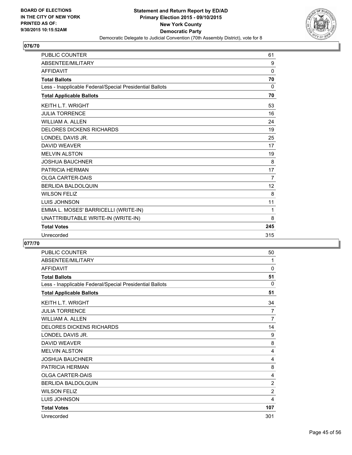![](_page_44_Picture_2.jpeg)

| <b>PUBLIC COUNTER</b>                                    | 61             |
|----------------------------------------------------------|----------------|
| ABSENTEE/MILITARY                                        | 9              |
| <b>AFFIDAVIT</b>                                         | 0              |
| <b>Total Ballots</b>                                     | 70             |
| Less - Inapplicable Federal/Special Presidential Ballots | $\Omega$       |
| <b>Total Applicable Ballots</b>                          | 70             |
| <b>KEITH L.T. WRIGHT</b>                                 | 53             |
| <b>JULIA TORRENCE</b>                                    | 16             |
| <b>WILLIAM A. ALLEN</b>                                  | 24             |
| <b>DELORES DICKENS RICHARDS</b>                          | 19             |
| LONDEL DAVIS JR.                                         | 25             |
| <b>DAVID WEAVER</b>                                      | 17             |
| <b>MELVIN ALSTON</b>                                     | 19             |
| <b>JOSHUA BAUCHNER</b>                                   | 8              |
| <b>PATRICIA HERMAN</b>                                   | 17             |
| <b>OLGA CARTER-DAIS</b>                                  | $\overline{7}$ |
| <b>BERLIDA BALDOLQUIN</b>                                | 12             |
| <b>WILSON FELIZ</b>                                      | 8              |
| <b>LUIS JOHNSON</b>                                      | 11             |
| EMMA L. MOSES' BARRICELLI (WRITE-IN)                     | 1              |
| UNATTRIBUTABLE WRITE-IN (WRITE-IN)                       | 8              |
| <b>Total Votes</b>                                       | 245            |
| Unrecorded                                               | 315            |

| <b>PUBLIC COUNTER</b>                                    | 50             |
|----------------------------------------------------------|----------------|
| ABSENTEE/MILITARY                                        | 1              |
| <b>AFFIDAVIT</b>                                         | 0              |
| <b>Total Ballots</b>                                     | 51             |
| Less - Inapplicable Federal/Special Presidential Ballots | 0              |
| <b>Total Applicable Ballots</b>                          | 51             |
| <b>KEITH L.T. WRIGHT</b>                                 | 34             |
| <b>JULIA TORRENCE</b>                                    | 7              |
| <b>WILLIAM A. ALLEN</b>                                  | $\overline{7}$ |
| <b>DELORES DICKENS RICHARDS</b>                          | 14             |
| LONDEL DAVIS JR.                                         | 9              |
| <b>DAVID WEAVER</b>                                      | 8              |
| <b>MELVIN ALSTON</b>                                     | 4              |
| <b>JOSHUA BAUCHNER</b>                                   | 4              |
| <b>PATRICIA HERMAN</b>                                   | 8              |
| <b>OLGA CARTER-DAIS</b>                                  | 4              |
| BERLIDA BALDOLQUIN                                       | $\overline{2}$ |
| <b>WILSON FELIZ</b>                                      | $\overline{2}$ |
| <b>LUIS JOHNSON</b>                                      | 4              |
| <b>Total Votes</b>                                       | 107            |
| Unrecorded                                               | 301            |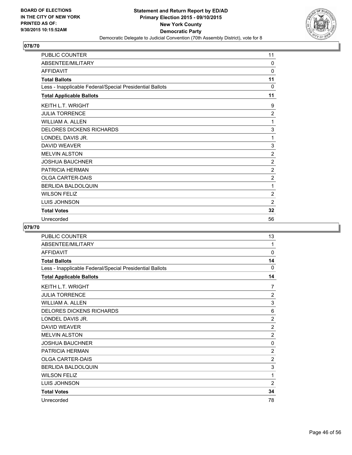![](_page_45_Picture_2.jpeg)

| <b>PUBLIC COUNTER</b>                                    | 11             |
|----------------------------------------------------------|----------------|
| ABSENTEE/MILITARY                                        | 0              |
| <b>AFFIDAVIT</b>                                         | 0              |
| <b>Total Ballots</b>                                     | 11             |
| Less - Inapplicable Federal/Special Presidential Ballots | 0              |
| <b>Total Applicable Ballots</b>                          | 11             |
| KEITH L.T. WRIGHT                                        | 9              |
| <b>JULIA TORRENCE</b>                                    | $\overline{2}$ |
| <b>WILLIAM A. ALLEN</b>                                  | 1              |
| <b>DELORES DICKENS RICHARDS</b>                          | 3              |
| LONDEL DAVIS JR.                                         | $\mathbf 1$    |
| <b>DAVID WEAVER</b>                                      | 3              |
| <b>MELVIN ALSTON</b>                                     | $\overline{2}$ |
| <b>JOSHUA BAUCHNER</b>                                   | $\overline{2}$ |
| PATRICIA HERMAN                                          | $\overline{c}$ |
| <b>OLGA CARTER-DAIS</b>                                  | $\overline{2}$ |
| <b>BERLIDA BALDOLQUIN</b>                                | 1              |
| <b>WILSON FELIZ</b>                                      | 2              |
| LUIS JOHNSON                                             | $\overline{2}$ |
| <b>Total Votes</b>                                       | 32             |
| Unrecorded                                               | 56             |

| PUBLIC COUNTER                                           | 13             |
|----------------------------------------------------------|----------------|
| ABSENTEE/MILITARY                                        | 1              |
| <b>AFFIDAVIT</b>                                         | 0              |
| <b>Total Ballots</b>                                     | 14             |
| Less - Inapplicable Federal/Special Presidential Ballots | 0              |
| <b>Total Applicable Ballots</b>                          | 14             |
| <b>KEITH L.T. WRIGHT</b>                                 | 7              |
| <b>JULIA TORRENCE</b>                                    | $\overline{2}$ |
| <b>WILLIAM A. ALLEN</b>                                  | 3              |
| <b>DELORES DICKENS RICHARDS</b>                          | 6              |
| LONDEL DAVIS JR.                                         | $\overline{2}$ |
| DAVID WEAVER                                             | $\overline{2}$ |
| <b>MELVIN ALSTON</b>                                     | $\overline{2}$ |
| <b>JOSHUA BAUCHNER</b>                                   | 0              |
| PATRICIA HERMAN                                          | $\overline{c}$ |
| <b>OLGA CARTER-DAIS</b>                                  | $\overline{2}$ |
| BERLIDA BALDOLQUIN                                       | 3              |
| <b>WILSON FELIZ</b>                                      | 1              |
| LUIS JOHNSON                                             | $\overline{2}$ |
| <b>Total Votes</b>                                       | 34             |
| Unrecorded                                               | 78             |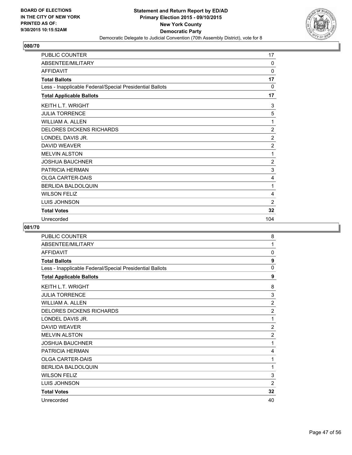![](_page_46_Picture_2.jpeg)

| PUBLIC COUNTER                                           | 17             |
|----------------------------------------------------------|----------------|
| ABSENTEE/MILITARY                                        | 0              |
| <b>AFFIDAVIT</b>                                         | 0              |
| <b>Total Ballots</b>                                     | 17             |
| Less - Inapplicable Federal/Special Presidential Ballots | 0              |
| <b>Total Applicable Ballots</b>                          | 17             |
| <b>KEITH L.T. WRIGHT</b>                                 | 3              |
| <b>JULIA TORRENCE</b>                                    | 5              |
| <b>WILLIAM A. ALLEN</b>                                  | 1              |
| <b>DELORES DICKENS RICHARDS</b>                          | $\overline{2}$ |
| LONDEL DAVIS JR.                                         | $\overline{2}$ |
| <b>DAVID WEAVER</b>                                      | $\overline{2}$ |
| <b>MELVIN ALSTON</b>                                     | 1              |
| <b>JOSHUA BAUCHNER</b>                                   | $\overline{2}$ |
| PATRICIA HERMAN                                          | 3              |
| <b>OLGA CARTER-DAIS</b>                                  | 4              |
| <b>BERLIDA BALDOLQUIN</b>                                | 1              |
| <b>WILSON FELIZ</b>                                      | 4              |
| <b>LUIS JOHNSON</b>                                      | $\overline{2}$ |
| <b>Total Votes</b>                                       | 32             |
| Unrecorded                                               | 104            |

| PUBLIC COUNTER                                           | 8              |
|----------------------------------------------------------|----------------|
| ABSENTEE/MILITARY                                        | 1              |
| <b>AFFIDAVIT</b>                                         | 0              |
| <b>Total Ballots</b>                                     | 9              |
| Less - Inapplicable Federal/Special Presidential Ballots | 0              |
| <b>Total Applicable Ballots</b>                          | 9              |
| KEITH L.T. WRIGHT                                        | 8              |
| <b>JULIA TORRENCE</b>                                    | 3              |
| <b>WILLIAM A. ALLEN</b>                                  | 2              |
| <b>DELORES DICKENS RICHARDS</b>                          | $\overline{2}$ |
| LONDEL DAVIS JR.                                         | 1              |
| DAVID WEAVER                                             | $\overline{2}$ |
| <b>MELVIN ALSTON</b>                                     | 2              |
| <b>JOSHUA BAUCHNER</b>                                   | 1              |
| PATRICIA HERMAN                                          | 4              |
| <b>OLGA CARTER-DAIS</b>                                  | 1              |
| <b>BERLIDA BALDOLQUIN</b>                                | 1              |
| <b>WILSON FELIZ</b>                                      | 3              |
| LUIS JOHNSON                                             | $\overline{c}$ |
| <b>Total Votes</b>                                       | 32             |
| Unrecorded                                               | 40             |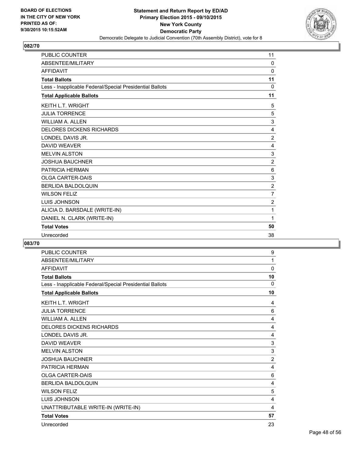![](_page_47_Picture_2.jpeg)

| <b>PUBLIC COUNTER</b>                                    | 11             |
|----------------------------------------------------------|----------------|
| ABSENTEE/MILITARY                                        | 0              |
| <b>AFFIDAVIT</b>                                         | 0              |
| <b>Total Ballots</b>                                     | 11             |
| Less - Inapplicable Federal/Special Presidential Ballots | $\mathbf 0$    |
| <b>Total Applicable Ballots</b>                          | 11             |
| <b>KEITH L.T. WRIGHT</b>                                 | 5              |
| <b>JULIA TORRENCE</b>                                    | 5              |
| <b>WILLIAM A. ALLEN</b>                                  | 3              |
| <b>DELORES DICKENS RICHARDS</b>                          | 4              |
| LONDEL DAVIS JR.                                         | 2              |
| <b>DAVID WEAVER</b>                                      | 4              |
| <b>MELVIN ALSTON</b>                                     | 3              |
| <b>JOSHUA BAUCHNER</b>                                   | $\overline{2}$ |
| PATRICIA HERMAN                                          | 6              |
| <b>OLGA CARTER-DAIS</b>                                  | 3              |
| <b>BERLIDA BALDOLQUIN</b>                                | $\overline{2}$ |
| <b>WILSON FELIZ</b>                                      | $\overline{7}$ |
| <b>LUIS JOHNSON</b>                                      | $\overline{2}$ |
| ALICIA D. BARSDALE (WRITE-IN)                            | 1              |
| DANIEL N. CLARK (WRITE-IN)                               | 1              |
| <b>Total Votes</b>                                       | 50             |
| Unrecorded                                               | 38             |

| <b>PUBLIC COUNTER</b>                                    | 9              |
|----------------------------------------------------------|----------------|
| ABSENTEE/MILITARY                                        | 1              |
| <b>AFFIDAVIT</b>                                         | 0              |
| <b>Total Ballots</b>                                     | 10             |
| Less - Inapplicable Federal/Special Presidential Ballots | 0              |
| <b>Total Applicable Ballots</b>                          | 10             |
| <b>KEITH L.T. WRIGHT</b>                                 | 4              |
| <b>JULIA TORRENCE</b>                                    | 6              |
| <b>WILLIAM A. ALLEN</b>                                  | 4              |
| <b>DELORES DICKENS RICHARDS</b>                          | 4              |
| LONDEL DAVIS JR.                                         | 4              |
| <b>DAVID WEAVER</b>                                      | 3              |
| <b>MELVIN ALSTON</b>                                     | $\mathsf 3$    |
| <b>JOSHUA BAUCHNER</b>                                   | $\overline{2}$ |
| PATRICIA HERMAN                                          | 4              |
| <b>OLGA CARTER-DAIS</b>                                  | 6              |
| <b>BERLIDA BALDOLOUIN</b>                                | 4              |
| <b>WILSON FELIZ</b>                                      | 5              |
| <b>LUIS JOHNSON</b>                                      | 4              |
| UNATTRIBUTABLE WRITE-IN (WRITE-IN)                       | 4              |
| <b>Total Votes</b>                                       | 57             |
| Unrecorded                                               | 23             |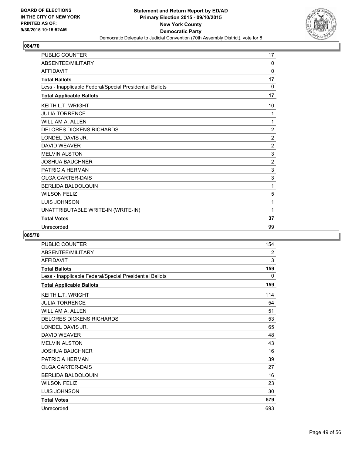![](_page_48_Picture_2.jpeg)

| <b>PUBLIC COUNTER</b>                                    | 17             |
|----------------------------------------------------------|----------------|
| ABSENTEE/MILITARY                                        | $\mathbf{0}$   |
| <b>AFFIDAVIT</b>                                         | 0              |
| <b>Total Ballots</b>                                     | 17             |
| Less - Inapplicable Federal/Special Presidential Ballots | 0              |
| <b>Total Applicable Ballots</b>                          | 17             |
| <b>KEITH L.T. WRIGHT</b>                                 | 10             |
| <b>JULIA TORRENCE</b>                                    | 1              |
| <b>WILLIAM A. ALLEN</b>                                  | 1              |
| <b>DELORES DICKENS RICHARDS</b>                          | $\overline{2}$ |
| LONDEL DAVIS JR.                                         | $\overline{2}$ |
| <b>DAVID WEAVER</b>                                      | $\overline{2}$ |
| <b>MELVIN ALSTON</b>                                     | 3              |
| <b>JOSHUA BAUCHNER</b>                                   | $\overline{2}$ |
| <b>PATRICIA HERMAN</b>                                   | 3              |
| <b>OLGA CARTER-DAIS</b>                                  | 3              |
| <b>BERLIDA BALDOLQUIN</b>                                | 1              |
| <b>WILSON FELIZ</b>                                      | 5              |
| LUIS JOHNSON                                             | 1              |
| UNATTRIBUTABLE WRITE-IN (WRITE-IN)                       | 1              |
| <b>Total Votes</b>                                       | 37             |
| Unrecorded                                               | 99             |

| <b>PUBLIC COUNTER</b>                                    | 154 |
|----------------------------------------------------------|-----|
| ABSENTEE/MILITARY                                        | 2   |
| <b>AFFIDAVIT</b>                                         | 3   |
| <b>Total Ballots</b>                                     | 159 |
| Less - Inapplicable Federal/Special Presidential Ballots | 0   |
| <b>Total Applicable Ballots</b>                          | 159 |
| <b>KEITH L.T. WRIGHT</b>                                 | 114 |
| <b>JULIA TORRENCE</b>                                    | 54  |
| <b>WILLIAM A. ALLEN</b>                                  | 51  |
| <b>DELORES DICKENS RICHARDS</b>                          | 53  |
| LONDEL DAVIS JR.                                         | 65  |
| <b>DAVID WEAVER</b>                                      | 48  |
| <b>MELVIN ALSTON</b>                                     | 43  |
| <b>JOSHUA BAUCHNER</b>                                   | 16  |
| PATRICIA HERMAN                                          | 39  |
| <b>OLGA CARTER-DAIS</b>                                  | 27  |
| BERLIDA BALDOLQUIN                                       | 16  |
| <b>WILSON FELIZ</b>                                      | 23  |
| LUIS JOHNSON                                             | 30  |
| <b>Total Votes</b>                                       | 579 |
| Unrecorded                                               | 693 |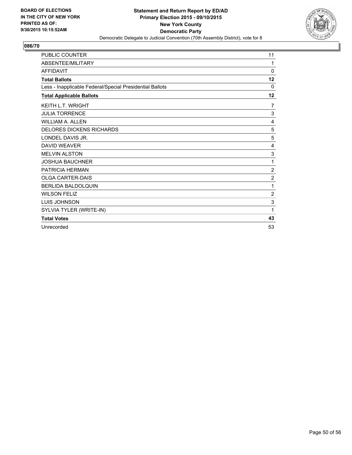![](_page_49_Picture_2.jpeg)

| <b>PUBLIC COUNTER</b>                                    | 11             |
|----------------------------------------------------------|----------------|
| ABSENTEE/MILITARY                                        | 1              |
| <b>AFFIDAVIT</b>                                         | $\mathbf{0}$   |
| <b>Total Ballots</b>                                     | 12             |
| Less - Inapplicable Federal/Special Presidential Ballots | 0              |
| <b>Total Applicable Ballots</b>                          | 12             |
| <b>KEITH L.T. WRIGHT</b>                                 | 7              |
| <b>JULIA TORRENCE</b>                                    | 3              |
| <b>WILLIAM A. ALLEN</b>                                  | 4              |
| <b>DELORES DICKENS RICHARDS</b>                          | 5              |
| LONDEL DAVIS JR.                                         | 5              |
| <b>DAVID WEAVER</b>                                      | 4              |
| <b>MELVIN ALSTON</b>                                     | 3              |
| <b>JOSHUA BAUCHNER</b>                                   | 1              |
| <b>PATRICIA HERMAN</b>                                   | $\overline{2}$ |
| <b>OLGA CARTER-DAIS</b>                                  | $\overline{2}$ |
| <b>BERLIDA BALDOLOUIN</b>                                | 1              |
| <b>WILSON FELIZ</b>                                      | 2              |
| LUIS JOHNSON                                             | 3              |
| SYLVIA TYLER (WRITE-IN)                                  | 1              |
| <b>Total Votes</b>                                       | 43             |
| Unrecorded                                               | 53             |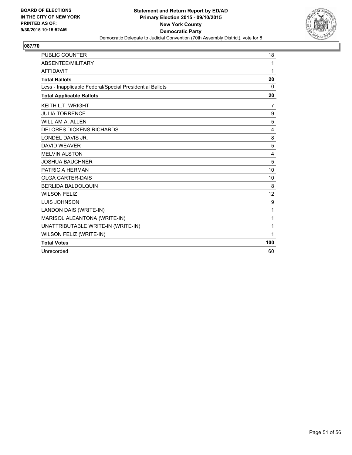![](_page_50_Picture_2.jpeg)

| <b>PUBLIC COUNTER</b>                                    | 18           |
|----------------------------------------------------------|--------------|
| <b>ABSENTEE/MILITARY</b>                                 | 1            |
| <b>AFFIDAVIT</b>                                         | 1            |
| <b>Total Ballots</b>                                     | 20           |
| Less - Inapplicable Federal/Special Presidential Ballots | $\mathbf{0}$ |
| <b>Total Applicable Ballots</b>                          | 20           |
| <b>KEITH L.T. WRIGHT</b>                                 | 7            |
| <b>JULIA TORRENCE</b>                                    | 9            |
| <b>WILLIAM A. ALLEN</b>                                  | 5            |
| <b>DELORES DICKENS RICHARDS</b>                          | 4            |
| LONDEL DAVIS JR.                                         | 8            |
| <b>DAVID WEAVER</b>                                      | 5            |
| <b>MELVIN ALSTON</b>                                     | 4            |
| <b>JOSHUA BAUCHNER</b>                                   | 5            |
| <b>PATRICIA HERMAN</b>                                   | 10           |
| <b>OLGA CARTER-DAIS</b>                                  | 10           |
| <b>BERLIDA BALDOLQUIN</b>                                | 8            |
| <b>WILSON FELIZ</b>                                      | 12           |
| <b>LUIS JOHNSON</b>                                      | 9            |
| LANDON DAIS (WRITE-IN)                                   | 1            |
| MARISOL ALEANTONA (WRITE-IN)                             | 1            |
| UNATTRIBUTABLE WRITE-IN (WRITE-IN)                       | 1            |
| WILSON FELIZ (WRITE-IN)                                  | 1            |
| <b>Total Votes</b>                                       | 100          |
| Unrecorded                                               | 60           |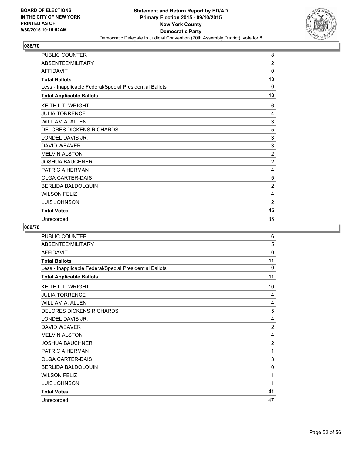![](_page_51_Picture_2.jpeg)

| <b>PUBLIC COUNTER</b>                                    | 8              |
|----------------------------------------------------------|----------------|
| ABSENTEE/MILITARY                                        | $\overline{2}$ |
| <b>AFFIDAVIT</b>                                         | 0              |
| <b>Total Ballots</b>                                     | 10             |
| Less - Inapplicable Federal/Special Presidential Ballots | 0              |
| <b>Total Applicable Ballots</b>                          | 10             |
| <b>KEITH L.T. WRIGHT</b>                                 | 6              |
| <b>JULIA TORRENCE</b>                                    | 4              |
| WILLIAM A. ALLEN                                         | 3              |
| <b>DELORES DICKENS RICHARDS</b>                          | 5              |
| LONDEL DAVIS JR.                                         | 3              |
| <b>DAVID WEAVER</b>                                      | 3              |
| <b>MELVIN ALSTON</b>                                     | $\overline{2}$ |
| <b>JOSHUA BAUCHNER</b>                                   | $\overline{2}$ |
| PATRICIA HERMAN                                          | 4              |
| <b>OLGA CARTER-DAIS</b>                                  | 5              |
| <b>BERLIDA BALDOLQUIN</b>                                | $\overline{2}$ |
| <b>WILSON FELIZ</b>                                      | 4              |
| <b>LUIS JOHNSON</b>                                      | $\overline{2}$ |
| <b>Total Votes</b>                                       | 45             |
| Unrecorded                                               | 35             |

| PUBLIC COUNTER                                           | 6              |
|----------------------------------------------------------|----------------|
| ABSENTEE/MILITARY                                        | 5              |
| <b>AFFIDAVIT</b>                                         | 0              |
| <b>Total Ballots</b>                                     | 11             |
| Less - Inapplicable Federal/Special Presidential Ballots | 0              |
| <b>Total Applicable Ballots</b>                          | 11             |
| <b>KEITH L.T. WRIGHT</b>                                 | 10             |
| <b>JULIA TORRENCE</b>                                    | 4              |
| <b>WILLIAM A. ALLEN</b>                                  | 4              |
| <b>DELORES DICKENS RICHARDS</b>                          | 5              |
| LONDEL DAVIS JR.                                         | 4              |
| DAVID WEAVER                                             | $\overline{2}$ |
| <b>MELVIN ALSTON</b>                                     | 4              |
| <b>JOSHUA BAUCHNER</b>                                   | $\overline{2}$ |
| PATRICIA HERMAN                                          | 1              |
| <b>OLGA CARTER-DAIS</b>                                  | 3              |
| <b>BERLIDA BALDOLQUIN</b>                                | 0              |
| <b>WILSON FELIZ</b>                                      | 1              |
| LUIS JOHNSON                                             | 1              |
| <b>Total Votes</b>                                       | 41             |
| Unrecorded                                               | 47             |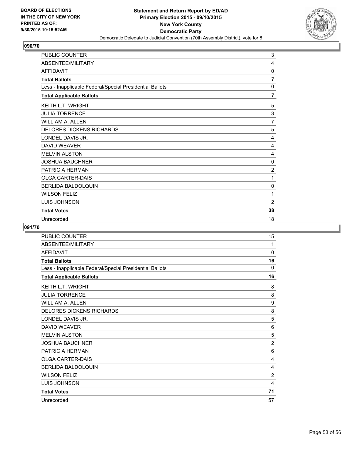![](_page_52_Picture_2.jpeg)

| PUBLIC COUNTER                                           | 3              |
|----------------------------------------------------------|----------------|
| ABSENTEE/MILITARY                                        | 4              |
| <b>AFFIDAVIT</b>                                         | 0              |
| <b>Total Ballots</b>                                     | $\overline{7}$ |
| Less - Inapplicable Federal/Special Presidential Ballots | 0              |
| <b>Total Applicable Ballots</b>                          | 7              |
| KEITH L.T. WRIGHT                                        | 5              |
| <b>JULIA TORRENCE</b>                                    | 3              |
| <b>WILLIAM A. ALLEN</b>                                  | $\overline{7}$ |
| DELORES DICKENS RICHARDS                                 | 5              |
| LONDEL DAVIS JR.                                         | 4              |
| <b>DAVID WEAVER</b>                                      | 4              |
| <b>MELVIN ALSTON</b>                                     | 4              |
| <b>JOSHUA BAUCHNER</b>                                   | 0              |
| PATRICIA HERMAN                                          | $\overline{2}$ |
| <b>OLGA CARTER-DAIS</b>                                  | 1              |
| BERLIDA BALDOLQUIN                                       | 0              |
| <b>WILSON FELIZ</b>                                      | 1              |
| LUIS JOHNSON                                             | $\overline{2}$ |
| <b>Total Votes</b>                                       | 38             |
| Unrecorded                                               | 18             |

| PUBLIC COUNTER                                           | 15             |
|----------------------------------------------------------|----------------|
| ABSENTEE/MILITARY                                        | 1              |
| <b>AFFIDAVIT</b>                                         | 0              |
| <b>Total Ballots</b>                                     | 16             |
| Less - Inapplicable Federal/Special Presidential Ballots | 0              |
| <b>Total Applicable Ballots</b>                          | 16             |
| <b>KEITH L.T. WRIGHT</b>                                 | 8              |
| <b>JULIA TORRENCE</b>                                    | 8              |
| <b>WILLIAM A. ALLEN</b>                                  | 9              |
| <b>DELORES DICKENS RICHARDS</b>                          | 8              |
| LONDEL DAVIS JR.                                         | 5              |
| <b>DAVID WEAVER</b>                                      | 6              |
| <b>MELVIN ALSTON</b>                                     | 5              |
| <b>JOSHUA BAUCHNER</b>                                   | $\overline{2}$ |
| PATRICIA HERMAN                                          | 6              |
| <b>OLGA CARTER-DAIS</b>                                  | $\overline{4}$ |
| <b>BERLIDA BALDOLQUIN</b>                                | 4              |
| <b>WILSON FELIZ</b>                                      | $\overline{2}$ |
| LUIS JOHNSON                                             | 4              |
| <b>Total Votes</b>                                       | 71             |
| Unrecorded                                               | 57             |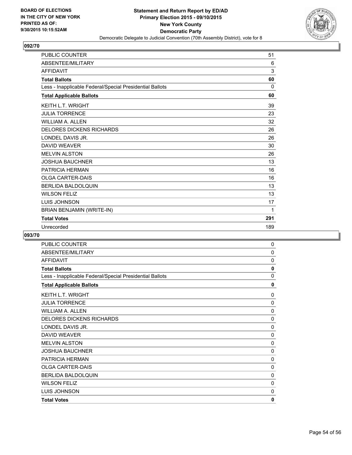![](_page_53_Picture_2.jpeg)

| <b>PUBLIC COUNTER</b>                                    | 51       |
|----------------------------------------------------------|----------|
| ABSENTEE/MILITARY                                        | 6        |
| <b>AFFIDAVIT</b>                                         | 3        |
| <b>Total Ballots</b>                                     | 60       |
| Less - Inapplicable Federal/Special Presidential Ballots | $\Omega$ |
| <b>Total Applicable Ballots</b>                          | 60       |
| <b>KEITH L.T. WRIGHT</b>                                 | 39       |
| <b>JULIA TORRENCE</b>                                    | 23       |
| <b>WILLIAM A. ALLEN</b>                                  | 32       |
| <b>DELORES DICKENS RICHARDS</b>                          | 26       |
| LONDEL DAVIS JR.                                         | 26       |
| <b>DAVID WEAVER</b>                                      | 30       |
| <b>MELVIN ALSTON</b>                                     | 26       |
| <b>JOSHUA BAUCHNER</b>                                   | 13       |
| PATRICIA HERMAN                                          | 16       |
| <b>OLGA CARTER-DAIS</b>                                  | 16       |
| <b>BERLIDA BALDOLOUIN</b>                                | 13       |
| <b>WILSON FELIZ</b>                                      | 13       |
| <b>LUIS JOHNSON</b>                                      | 17       |
| BRIAN BENJAMIN (WRITE-IN)                                | 1        |
| <b>Total Votes</b>                                       | 291      |
| Unrecorded                                               | 189      |

| <b>PUBLIC COUNTER</b>                                    | 0            |
|----------------------------------------------------------|--------------|
| ABSENTEE/MILITARY                                        | 0            |
| <b>AFFIDAVIT</b>                                         | 0            |
| <b>Total Ballots</b>                                     | $\mathbf{0}$ |
| Less - Inapplicable Federal/Special Presidential Ballots | 0            |
| <b>Total Applicable Ballots</b>                          | 0            |
| KEITH L.T. WRIGHT                                        | 0            |
| <b>JULIA TORRENCE</b>                                    | $\Omega$     |
| WILLIAM A. ALLEN                                         | 0            |
| <b>DELORES DICKENS RICHARDS</b>                          | $\mathbf 0$  |
| LONDEL DAVIS JR.                                         | 0            |
| <b>DAVID WEAVER</b>                                      | 0            |
| <b>MELVIN ALSTON</b>                                     | 0            |
| <b>JOSHUA BAUCHNER</b>                                   | 0            |
| PATRICIA HERMAN                                          | 0            |
| <b>OLGA CARTER-DAIS</b>                                  | 0            |
| BERLIDA BALDOLQUIN                                       | 0            |
| <b>WILSON FELIZ</b>                                      | $\mathbf 0$  |
| LUIS JOHNSON                                             | 0            |
| <b>Total Votes</b>                                       | 0            |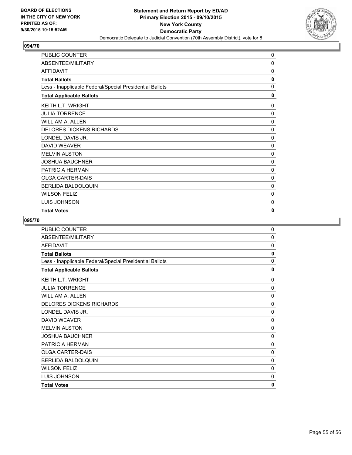![](_page_54_Picture_2.jpeg)

| PUBLIC COUNTER                                           | 0            |
|----------------------------------------------------------|--------------|
| ABSENTEE/MILITARY                                        | 0            |
| <b>AFFIDAVIT</b>                                         | 0            |
| <b>Total Ballots</b>                                     | 0            |
| Less - Inapplicable Federal/Special Presidential Ballots | $\mathbf{0}$ |
| <b>Total Applicable Ballots</b>                          | 0            |
| KEITH L.T. WRIGHT                                        | 0            |
| <b>JULIA TORRENCE</b>                                    | 0            |
| WILLIAM A. ALLEN                                         | 0            |
| <b>DELORES DICKENS RICHARDS</b>                          | $\mathbf{0}$ |
| LONDEL DAVIS JR.                                         | 0            |
| <b>DAVID WEAVER</b>                                      | 0            |
| <b>MELVIN ALSTON</b>                                     | 0            |
| <b>JOSHUA BAUCHNER</b>                                   | 0            |
| <b>PATRICIA HERMAN</b>                                   | 0            |
| <b>OLGA CARTER-DAIS</b>                                  | 0            |
| <b>BERLIDA BALDOLQUIN</b>                                | 0            |
| <b>WILSON FELIZ</b>                                      | 0            |
| LUIS JOHNSON                                             | 0            |
| <b>Total Votes</b>                                       | 0            |

| PUBLIC COUNTER                                           | 0            |
|----------------------------------------------------------|--------------|
| ABSENTEE/MILITARY                                        | 0            |
| <b>AFFIDAVIT</b>                                         | 0            |
| <b>Total Ballots</b>                                     | 0            |
| Less - Inapplicable Federal/Special Presidential Ballots | 0            |
| <b>Total Applicable Ballots</b>                          | 0            |
| <b>KEITH L.T. WRIGHT</b>                                 | 0            |
| <b>JULIA TORRENCE</b>                                    | 0            |
| <b>WILLIAM A. ALLEN</b>                                  | 0            |
| <b>DELORES DICKENS RICHARDS</b>                          | $\mathbf 0$  |
| LONDEL DAVIS JR.                                         | 0            |
| <b>DAVID WEAVER</b>                                      | 0            |
| <b>MELVIN ALSTON</b>                                     | 0            |
| <b>JOSHUA BAUCHNER</b>                                   | 0            |
| <b>PATRICIA HERMAN</b>                                   | 0            |
| <b>OLGA CARTER-DAIS</b>                                  | 0            |
| <b>BERLIDA BALDOLQUIN</b>                                | 0            |
| <b>WILSON FELIZ</b>                                      | 0            |
| LUIS JOHNSON                                             | $\mathbf{0}$ |
| <b>Total Votes</b>                                       | 0            |